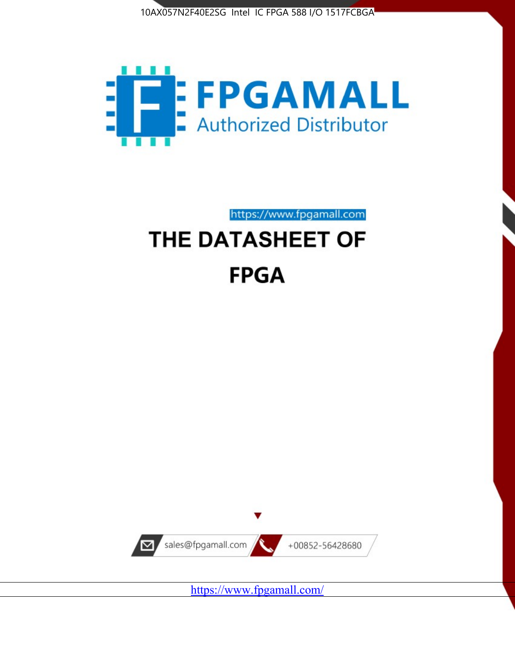



https://www.fpgamall.com

# THE DATASHEET OF **FPGA**



<https://www.fpgamall.com/>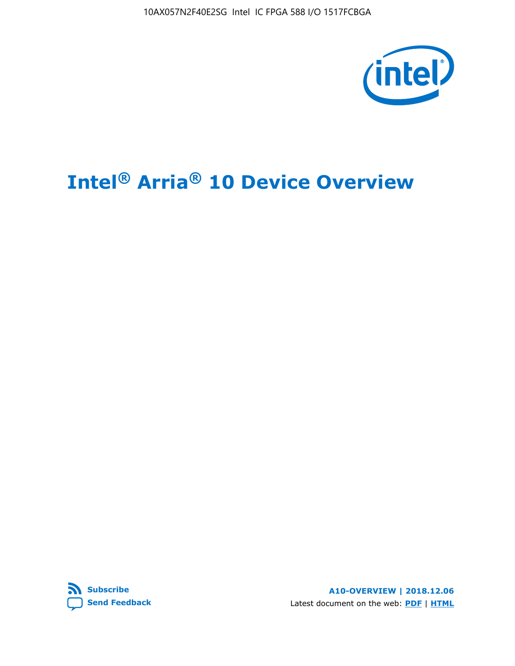10AX057N2F40E2SG Intel IC FPGA 588 I/O 1517FCBGA



# **Intel® Arria® 10 Device Overview**



**A10-OVERVIEW | 2018.12.06** Latest document on the web: **[PDF](https://www.intel.com/content/dam/www/programmable/us/en/pdfs/literature/hb/arria-10/a10_overview.pdf)** | **[HTML](https://www.intel.com/content/www/us/en/programmable/documentation/sam1403480274650.html)**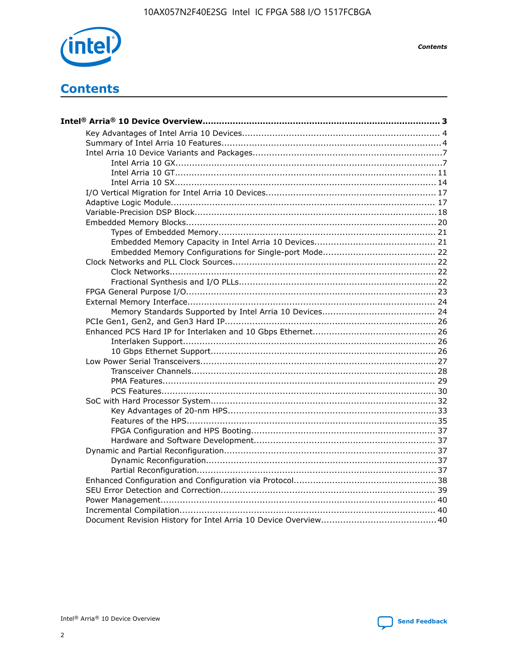

**Contents** 

# **Contents**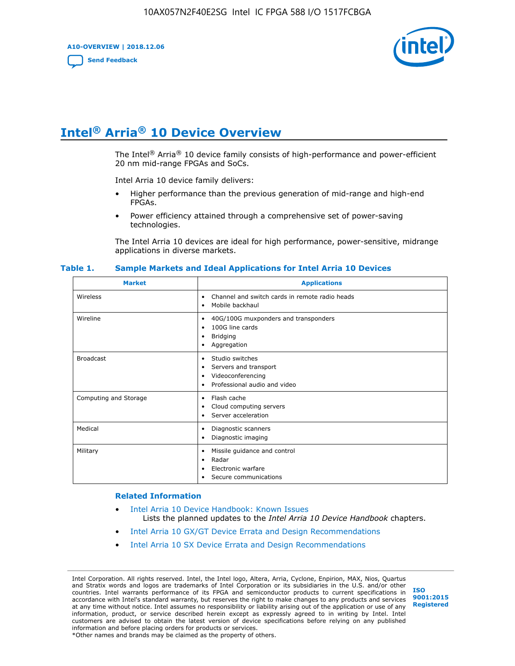**A10-OVERVIEW | 2018.12.06**

**[Send Feedback](mailto:FPGAtechdocfeedback@intel.com?subject=Feedback%20on%20Intel%20Arria%2010%20Device%20Overview%20(A10-OVERVIEW%202018.12.06)&body=We%20appreciate%20your%20feedback.%20In%20your%20comments,%20also%20specify%20the%20page%20number%20or%20paragraph.%20Thank%20you.)**



# **Intel® Arria® 10 Device Overview**

The Intel<sup>®</sup> Arria<sup>®</sup> 10 device family consists of high-performance and power-efficient 20 nm mid-range FPGAs and SoCs.

Intel Arria 10 device family delivers:

- Higher performance than the previous generation of mid-range and high-end FPGAs.
- Power efficiency attained through a comprehensive set of power-saving technologies.

The Intel Arria 10 devices are ideal for high performance, power-sensitive, midrange applications in diverse markets.

| <b>Market</b>         | <b>Applications</b>                                                                                               |
|-----------------------|-------------------------------------------------------------------------------------------------------------------|
| Wireless              | Channel and switch cards in remote radio heads<br>٠<br>Mobile backhaul<br>٠                                       |
| Wireline              | 40G/100G muxponders and transponders<br>٠<br>100G line cards<br>٠<br><b>Bridging</b><br>٠<br>Aggregation<br>٠     |
| <b>Broadcast</b>      | Studio switches<br>٠<br>Servers and transport<br>٠<br>Videoconferencing<br>٠<br>Professional audio and video<br>٠ |
| Computing and Storage | Flash cache<br>٠<br>Cloud computing servers<br>٠<br>Server acceleration<br>٠                                      |
| Medical               | Diagnostic scanners<br>٠<br>Diagnostic imaging<br>٠                                                               |
| Military              | Missile guidance and control<br>٠<br>Radar<br>٠<br>Electronic warfare<br>٠<br>Secure communications<br>٠          |

#### **Table 1. Sample Markets and Ideal Applications for Intel Arria 10 Devices**

#### **Related Information**

- [Intel Arria 10 Device Handbook: Known Issues](http://www.altera.com/support/kdb/solutions/rd07302013_646.html) Lists the planned updates to the *Intel Arria 10 Device Handbook* chapters.
- [Intel Arria 10 GX/GT Device Errata and Design Recommendations](https://www.intel.com/content/www/us/en/programmable/documentation/agz1493851706374.html#yqz1494433888646)
- [Intel Arria 10 SX Device Errata and Design Recommendations](https://www.intel.com/content/www/us/en/programmable/documentation/cru1462832385668.html#cru1462832558642)

Intel Corporation. All rights reserved. Intel, the Intel logo, Altera, Arria, Cyclone, Enpirion, MAX, Nios, Quartus and Stratix words and logos are trademarks of Intel Corporation or its subsidiaries in the U.S. and/or other countries. Intel warrants performance of its FPGA and semiconductor products to current specifications in accordance with Intel's standard warranty, but reserves the right to make changes to any products and services at any time without notice. Intel assumes no responsibility or liability arising out of the application or use of any information, product, or service described herein except as expressly agreed to in writing by Intel. Intel customers are advised to obtain the latest version of device specifications before relying on any published information and before placing orders for products or services. \*Other names and brands may be claimed as the property of others.

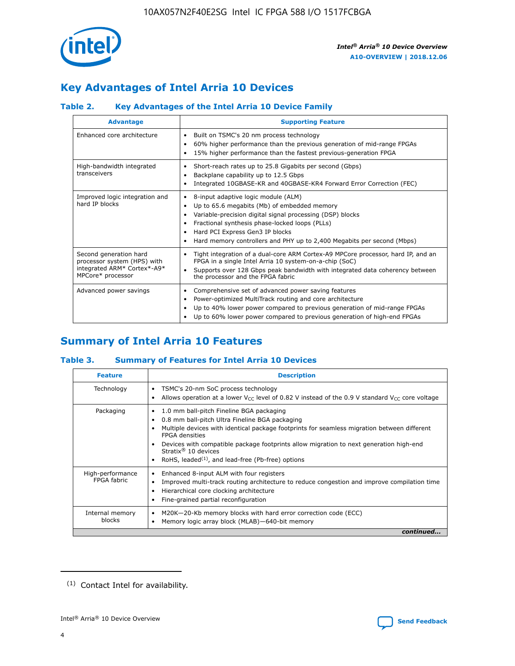

# **Key Advantages of Intel Arria 10 Devices**

# **Table 2. Key Advantages of the Intel Arria 10 Device Family**

| <b>Advantage</b>                                                                                          | <b>Supporting Feature</b>                                                                                                                                                                                                                                                                                                |  |  |  |  |  |
|-----------------------------------------------------------------------------------------------------------|--------------------------------------------------------------------------------------------------------------------------------------------------------------------------------------------------------------------------------------------------------------------------------------------------------------------------|--|--|--|--|--|
| Enhanced core architecture                                                                                | Built on TSMC's 20 nm process technology<br>٠<br>60% higher performance than the previous generation of mid-range FPGAs<br>٠<br>15% higher performance than the fastest previous-generation FPGA<br>٠                                                                                                                    |  |  |  |  |  |
| High-bandwidth integrated<br>transceivers                                                                 | Short-reach rates up to 25.8 Gigabits per second (Gbps)<br>٠<br>Backplane capability up to 12.5 Gbps<br>٠<br>Integrated 10GBASE-KR and 40GBASE-KR4 Forward Error Correction (FEC)<br>٠                                                                                                                                   |  |  |  |  |  |
| Improved logic integration and<br>hard IP blocks                                                          | 8-input adaptive logic module (ALM)<br>٠<br>Up to 65.6 megabits (Mb) of embedded memory<br>٠<br>Variable-precision digital signal processing (DSP) blocks<br>Fractional synthesis phase-locked loops (PLLs)<br>Hard PCI Express Gen3 IP blocks<br>Hard memory controllers and PHY up to 2,400 Megabits per second (Mbps) |  |  |  |  |  |
| Second generation hard<br>processor system (HPS) with<br>integrated ARM* Cortex*-A9*<br>MPCore* processor | Tight integration of a dual-core ARM Cortex-A9 MPCore processor, hard IP, and an<br>٠<br>FPGA in a single Intel Arria 10 system-on-a-chip (SoC)<br>Supports over 128 Gbps peak bandwidth with integrated data coherency between<br>$\bullet$<br>the processor and the FPGA fabric                                        |  |  |  |  |  |
| Advanced power savings                                                                                    | Comprehensive set of advanced power saving features<br>٠<br>Power-optimized MultiTrack routing and core architecture<br>٠<br>Up to 40% lower power compared to previous generation of mid-range FPGAs<br>٠<br>Up to 60% lower power compared to previous generation of high-end FPGAs                                    |  |  |  |  |  |

# **Summary of Intel Arria 10 Features**

## **Table 3. Summary of Features for Intel Arria 10 Devices**

| <b>Feature</b>                  | <b>Description</b>                                                                                                                                                                                                                                                                                                                                                                                       |
|---------------------------------|----------------------------------------------------------------------------------------------------------------------------------------------------------------------------------------------------------------------------------------------------------------------------------------------------------------------------------------------------------------------------------------------------------|
| Technology                      | TSMC's 20-nm SoC process technology<br>٠<br>Allows operation at a lower $V_{\text{CC}}$ level of 0.82 V instead of the 0.9 V standard $V_{\text{CC}}$ core voltage                                                                                                                                                                                                                                       |
| Packaging                       | 1.0 mm ball-pitch Fineline BGA packaging<br>0.8 mm ball-pitch Ultra Fineline BGA packaging<br>Multiple devices with identical package footprints for seamless migration between different<br><b>FPGA</b> densities<br>Devices with compatible package footprints allow migration to next generation high-end<br>Stratix $\mathcal{R}$ 10 devices<br>RoHS, leaded $(1)$ , and lead-free (Pb-free) options |
| High-performance<br>FPGA fabric | Enhanced 8-input ALM with four registers<br>٠<br>Improved multi-track routing architecture to reduce congestion and improve compilation time<br>Hierarchical core clocking architecture<br>Fine-grained partial reconfiguration                                                                                                                                                                          |
| Internal memory<br>blocks       | M20K-20-Kb memory blocks with hard error correction code (ECC)<br>Memory logic array block (MLAB)-640-bit memory                                                                                                                                                                                                                                                                                         |
|                                 | continued                                                                                                                                                                                                                                                                                                                                                                                                |



<sup>(1)</sup> Contact Intel for availability.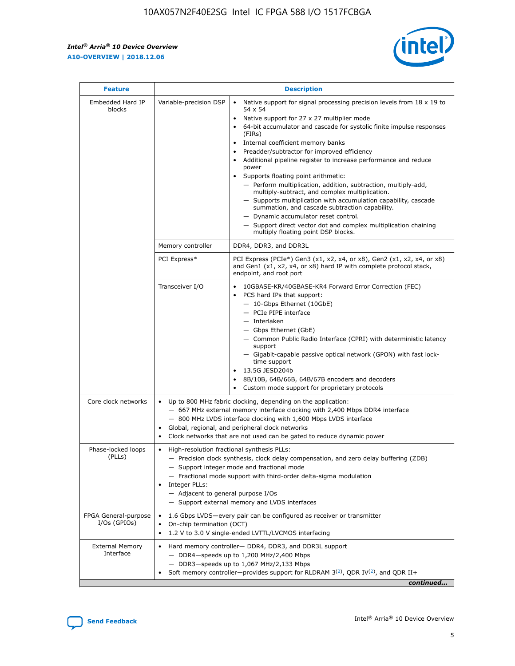$\mathsf{r}$ 



| <b>Feature</b>                         |                                                                                                                | <b>Description</b>                                                                                                                                                                                                                                                                                                                                                                                                                                                                                                                                                                                                                                                                                                                                                                                                                     |  |  |  |  |  |  |
|----------------------------------------|----------------------------------------------------------------------------------------------------------------|----------------------------------------------------------------------------------------------------------------------------------------------------------------------------------------------------------------------------------------------------------------------------------------------------------------------------------------------------------------------------------------------------------------------------------------------------------------------------------------------------------------------------------------------------------------------------------------------------------------------------------------------------------------------------------------------------------------------------------------------------------------------------------------------------------------------------------------|--|--|--|--|--|--|
| Embedded Hard IP<br>blocks             | Variable-precision DSP                                                                                         | Native support for signal processing precision levels from $18 \times 19$ to<br>54 x 54<br>Native support for 27 x 27 multiplier mode<br>64-bit accumulator and cascade for systolic finite impulse responses<br>(FIRs)<br>Internal coefficient memory banks<br>$\bullet$<br>Preadder/subtractor for improved efficiency<br>Additional pipeline register to increase performance and reduce<br>power<br>Supports floating point arithmetic:<br>- Perform multiplication, addition, subtraction, multiply-add,<br>multiply-subtract, and complex multiplication.<br>- Supports multiplication with accumulation capability, cascade<br>summation, and cascade subtraction capability.<br>- Dynamic accumulator reset control.<br>- Support direct vector dot and complex multiplication chaining<br>multiply floating point DSP blocks. |  |  |  |  |  |  |
|                                        | Memory controller                                                                                              | DDR4, DDR3, and DDR3L                                                                                                                                                                                                                                                                                                                                                                                                                                                                                                                                                                                                                                                                                                                                                                                                                  |  |  |  |  |  |  |
|                                        | PCI Express*                                                                                                   | PCI Express (PCIe*) Gen3 (x1, x2, x4, or x8), Gen2 (x1, x2, x4, or x8)<br>and Gen1 (x1, x2, x4, or x8) hard IP with complete protocol stack,<br>endpoint, and root port                                                                                                                                                                                                                                                                                                                                                                                                                                                                                                                                                                                                                                                                |  |  |  |  |  |  |
|                                        | Transceiver I/O                                                                                                | 10GBASE-KR/40GBASE-KR4 Forward Error Correction (FEC)<br>PCS hard IPs that support:<br>$\bullet$<br>- 10-Gbps Ethernet (10GbE)<br>- PCIe PIPE interface<br>$-$ Interlaken<br>- Gbps Ethernet (GbE)<br>- Common Public Radio Interface (CPRI) with deterministic latency<br>support<br>- Gigabit-capable passive optical network (GPON) with fast lock-<br>time support<br>13.5G JESD204b<br>$\bullet$<br>8B/10B, 64B/66B, 64B/67B encoders and decoders<br>Custom mode support for proprietary protocols                                                                                                                                                                                                                                                                                                                               |  |  |  |  |  |  |
| Core clock networks                    | $\bullet$<br>$\bullet$                                                                                         | Up to 800 MHz fabric clocking, depending on the application:<br>- 667 MHz external memory interface clocking with 2,400 Mbps DDR4 interface<br>- 800 MHz LVDS interface clocking with 1,600 Mbps LVDS interface<br>Global, regional, and peripheral clock networks<br>Clock networks that are not used can be gated to reduce dynamic power                                                                                                                                                                                                                                                                                                                                                                                                                                                                                            |  |  |  |  |  |  |
| Phase-locked loops<br>(PLLs)           | High-resolution fractional synthesis PLLs:<br>$\bullet$<br>Integer PLLs:<br>- Adjacent to general purpose I/Os | - Precision clock synthesis, clock delay compensation, and zero delay buffering (ZDB)<br>- Support integer mode and fractional mode<br>- Fractional mode support with third-order delta-sigma modulation<br>- Support external memory and LVDS interfaces                                                                                                                                                                                                                                                                                                                                                                                                                                                                                                                                                                              |  |  |  |  |  |  |
| FPGA General-purpose<br>$I/Os$ (GPIOs) | On-chip termination (OCT)                                                                                      | 1.6 Gbps LVDS-every pair can be configured as receiver or transmitter<br>1.2 V to 3.0 V single-ended LVTTL/LVCMOS interfacing                                                                                                                                                                                                                                                                                                                                                                                                                                                                                                                                                                                                                                                                                                          |  |  |  |  |  |  |
| <b>External Memory</b><br>Interface    |                                                                                                                | Hard memory controller- DDR4, DDR3, and DDR3L support<br>$-$ DDR4 $-$ speeds up to 1,200 MHz/2,400 Mbps<br>- DDR3-speeds up to 1,067 MHz/2,133 Mbps<br>Soft memory controller—provides support for RLDRAM $3^{(2)}$ , QDR IV $^{(2)}$ , and QDR II+<br>continued                                                                                                                                                                                                                                                                                                                                                                                                                                                                                                                                                                       |  |  |  |  |  |  |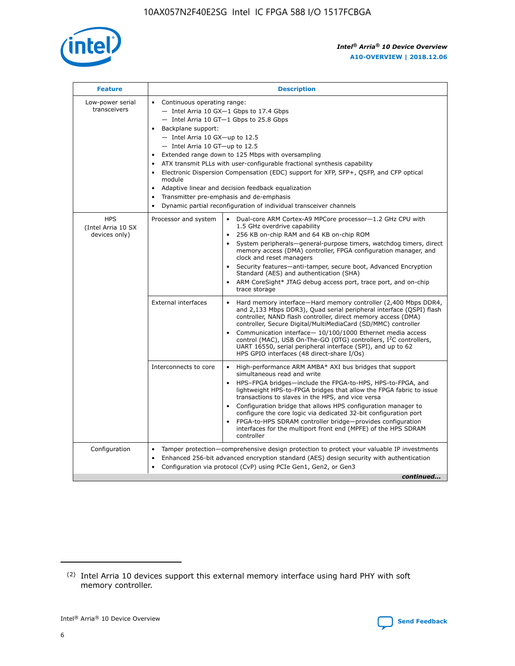

| <b>Feature</b>                                    | <b>Description</b>                                                                                                                                                                                                                                                                                                                                                                                                                                                                                                                                                                                                                         |
|---------------------------------------------------|--------------------------------------------------------------------------------------------------------------------------------------------------------------------------------------------------------------------------------------------------------------------------------------------------------------------------------------------------------------------------------------------------------------------------------------------------------------------------------------------------------------------------------------------------------------------------------------------------------------------------------------------|
| Low-power serial<br>transceivers                  | • Continuous operating range:<br>- Intel Arria 10 GX-1 Gbps to 17.4 Gbps<br>- Intel Arria 10 GT-1 Gbps to 25.8 Gbps<br>Backplane support:<br>$-$ Intel Arria 10 GX-up to 12.5<br>- Intel Arria 10 GT-up to 12.5<br>Extended range down to 125 Mbps with oversampling<br>ATX transmit PLLs with user-configurable fractional synthesis capability<br>Electronic Dispersion Compensation (EDC) support for XFP, SFP+, QSFP, and CFP optical<br>module<br>• Adaptive linear and decision feedback equalization<br>Transmitter pre-emphasis and de-emphasis<br>$\bullet$<br>Dynamic partial reconfiguration of individual transceiver channels |
| <b>HPS</b><br>(Intel Arria 10 SX<br>devices only) | Dual-core ARM Cortex-A9 MPCore processor-1.2 GHz CPU with<br>Processor and system<br>$\bullet$<br>1.5 GHz overdrive capability<br>256 KB on-chip RAM and 64 KB on-chip ROM<br>System peripherals-general-purpose timers, watchdog timers, direct<br>memory access (DMA) controller, FPGA configuration manager, and<br>clock and reset managers<br>Security features-anti-tamper, secure boot, Advanced Encryption<br>$\bullet$<br>Standard (AES) and authentication (SHA)<br>ARM CoreSight* JTAG debug access port, trace port, and on-chip<br>trace storage                                                                              |
|                                                   | <b>External interfaces</b><br>Hard memory interface-Hard memory controller (2,400 Mbps DDR4,<br>$\bullet$<br>and 2,133 Mbps DDR3), Quad serial peripheral interface (QSPI) flash<br>controller, NAND flash controller, direct memory access (DMA)<br>controller, Secure Digital/MultiMediaCard (SD/MMC) controller<br>Communication interface-10/100/1000 Ethernet media access<br>$\bullet$<br>control (MAC), USB On-The-GO (OTG) controllers, I <sup>2</sup> C controllers,<br>UART 16550, serial peripheral interface (SPI), and up to 62<br>HPS GPIO interfaces (48 direct-share I/Os)                                                 |
|                                                   | High-performance ARM AMBA* AXI bus bridges that support<br>Interconnects to core<br>$\bullet$<br>simultaneous read and write<br>HPS-FPGA bridges-include the FPGA-to-HPS, HPS-to-FPGA, and<br>$\bullet$<br>lightweight HPS-to-FPGA bridges that allow the FPGA fabric to issue<br>transactions to slaves in the HPS, and vice versa<br>Configuration bridge that allows HPS configuration manager to<br>configure the core logic via dedicated 32-bit configuration port<br>FPGA-to-HPS SDRAM controller bridge-provides configuration<br>interfaces for the multiport front end (MPFE) of the HPS SDRAM<br>controller                     |
| Configuration                                     | Tamper protection—comprehensive design protection to protect your valuable IP investments<br>Enhanced 256-bit advanced encryption standard (AES) design security with authentication<br>٠<br>Configuration via protocol (CvP) using PCIe Gen1, Gen2, or Gen3<br>continued                                                                                                                                                                                                                                                                                                                                                                  |

<sup>(2)</sup> Intel Arria 10 devices support this external memory interface using hard PHY with soft memory controller.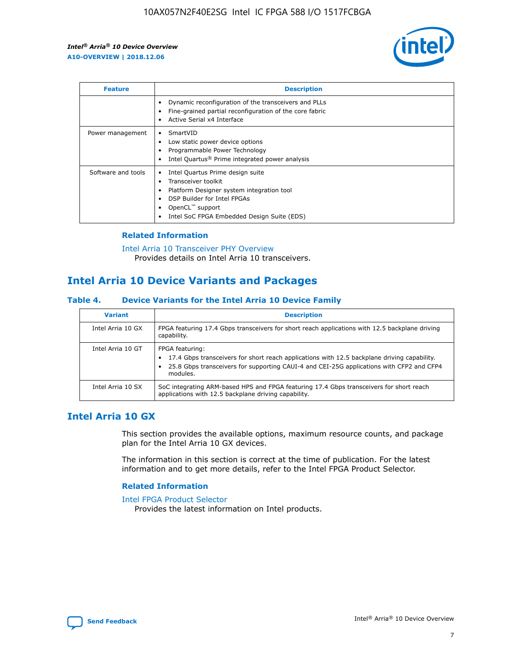

| <b>Feature</b>     | <b>Description</b>                                                                                                                                                                                                            |
|--------------------|-------------------------------------------------------------------------------------------------------------------------------------------------------------------------------------------------------------------------------|
|                    | Dynamic reconfiguration of the transceivers and PLLs<br>Fine-grained partial reconfiguration of the core fabric<br>Active Serial x4 Interface<br>$\bullet$                                                                    |
| Power management   | SmartVID<br>Low static power device options<br>Programmable Power Technology<br>Intel Quartus <sup>®</sup> Prime integrated power analysis                                                                                    |
| Software and tools | Intel Quartus Prime design suite<br>Transceiver toolkit<br>$\bullet$<br>Platform Designer system integration tool<br>DSP Builder for Intel FPGAs<br>OpenCL <sup>™</sup> support<br>Intel SoC FPGA Embedded Design Suite (EDS) |

## **Related Information**

[Intel Arria 10 Transceiver PHY Overview](https://www.intel.com/content/www/us/en/programmable/documentation/nik1398707230472.html#nik1398706768037) Provides details on Intel Arria 10 transceivers.

# **Intel Arria 10 Device Variants and Packages**

#### **Table 4. Device Variants for the Intel Arria 10 Device Family**

| <b>Variant</b>    | <b>Description</b>                                                                                                                                                                                                     |
|-------------------|------------------------------------------------------------------------------------------------------------------------------------------------------------------------------------------------------------------------|
| Intel Arria 10 GX | FPGA featuring 17.4 Gbps transceivers for short reach applications with 12.5 backplane driving<br>capability.                                                                                                          |
| Intel Arria 10 GT | FPGA featuring:<br>17.4 Gbps transceivers for short reach applications with 12.5 backplane driving capability.<br>25.8 Gbps transceivers for supporting CAUI-4 and CEI-25G applications with CFP2 and CFP4<br>modules. |
| Intel Arria 10 SX | SoC integrating ARM-based HPS and FPGA featuring 17.4 Gbps transceivers for short reach<br>applications with 12.5 backplane driving capability.                                                                        |

# **Intel Arria 10 GX**

This section provides the available options, maximum resource counts, and package plan for the Intel Arria 10 GX devices.

The information in this section is correct at the time of publication. For the latest information and to get more details, refer to the Intel FPGA Product Selector.

## **Related Information**

#### [Intel FPGA Product Selector](http://www.altera.com/products/selector/psg-selector.html) Provides the latest information on Intel products.

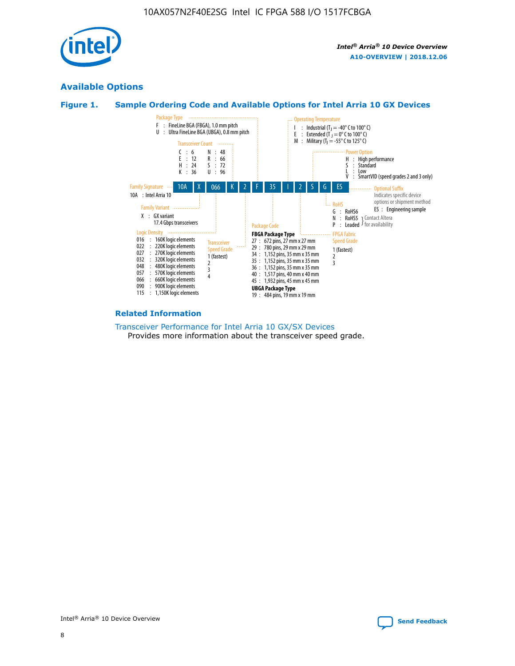

# **Available Options**





#### **Related Information**

[Transceiver Performance for Intel Arria 10 GX/SX Devices](https://www.intel.com/content/www/us/en/programmable/documentation/mcn1413182292568.html#mcn1413213965502) Provides more information about the transceiver speed grade.

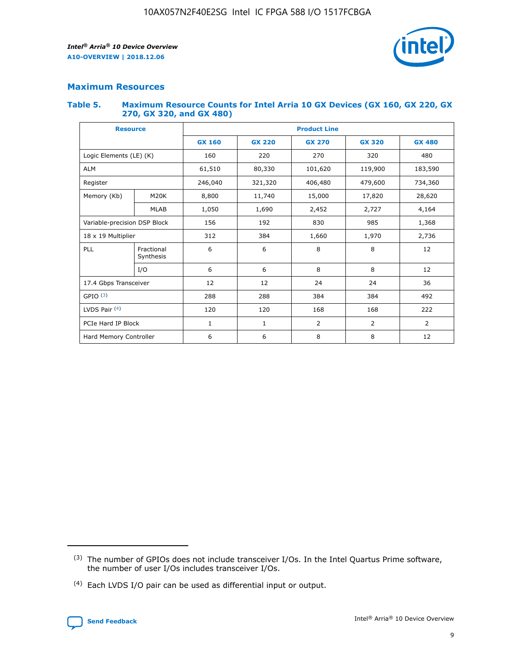

# **Maximum Resources**

#### **Table 5. Maximum Resource Counts for Intel Arria 10 GX Devices (GX 160, GX 220, GX 270, GX 320, and GX 480)**

| <b>Resource</b>              |                         | <b>Product Line</b> |                                                 |                    |                |                |  |  |  |
|------------------------------|-------------------------|---------------------|-------------------------------------------------|--------------------|----------------|----------------|--|--|--|
|                              |                         | <b>GX 160</b>       | <b>GX 220</b><br><b>GX 270</b><br><b>GX 320</b> |                    |                | <b>GX 480</b>  |  |  |  |
| Logic Elements (LE) (K)      |                         | 160                 | 220                                             | 270                | 320            | 480            |  |  |  |
| <b>ALM</b>                   |                         | 61,510              | 80,330                                          | 101,620            | 119,900        | 183,590        |  |  |  |
| Register                     |                         | 246,040             | 321,320                                         | 406,480<br>479,600 |                | 734,360        |  |  |  |
| Memory (Kb)                  | M <sub>20</sub> K       | 8,800               | 11,740                                          | 15,000<br>17,820   |                | 28,620         |  |  |  |
| <b>MLAB</b>                  |                         | 1,050               | 1,690<br>2,452<br>2,727                         |                    |                | 4,164          |  |  |  |
| Variable-precision DSP Block |                         | 156                 | 985<br>192<br>830                               |                    |                | 1,368          |  |  |  |
| 18 x 19 Multiplier           |                         | 312                 | 384                                             | 1,660<br>1,970     |                | 2,736          |  |  |  |
| PLL                          | Fractional<br>Synthesis | 6                   | 6                                               | 8                  | 8              | 12             |  |  |  |
|                              | I/O                     | 6                   | 6                                               | 8                  | 8              | 12             |  |  |  |
| 17.4 Gbps Transceiver        |                         | 12                  | 12                                              | 24                 | 24             | 36             |  |  |  |
| GPIO <sup>(3)</sup>          |                         | 288                 | 288                                             | 384<br>384         |                | 492            |  |  |  |
| LVDS Pair $(4)$              |                         | 120                 | 120                                             | 168<br>168         |                | 222            |  |  |  |
| PCIe Hard IP Block           |                         | $\mathbf{1}$        | 1                                               | $\overline{2}$     | $\overline{2}$ | $\overline{2}$ |  |  |  |
| Hard Memory Controller       |                         | 6                   | 6                                               | 8                  | 8              | 12             |  |  |  |

<sup>(4)</sup> Each LVDS I/O pair can be used as differential input or output.



<sup>(3)</sup> The number of GPIOs does not include transceiver I/Os. In the Intel Quartus Prime software, the number of user I/Os includes transceiver I/Os.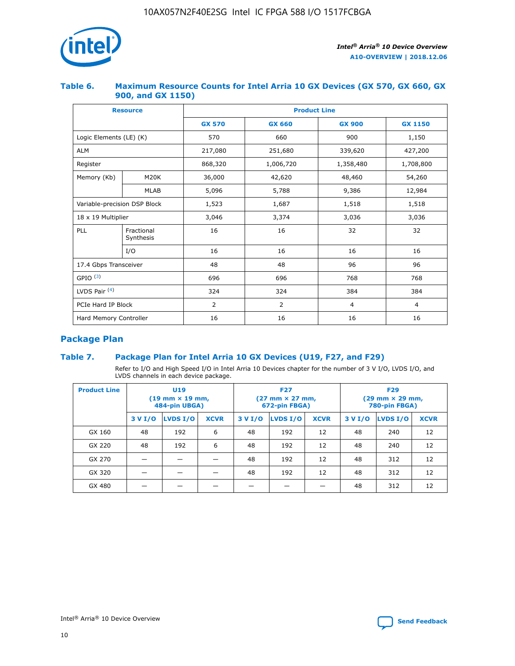

## **Table 6. Maximum Resource Counts for Intel Arria 10 GX Devices (GX 570, GX 660, GX 900, and GX 1150)**

|                              | <b>Resource</b>         | <b>Product Line</b> |               |                |                |  |  |  |  |
|------------------------------|-------------------------|---------------------|---------------|----------------|----------------|--|--|--|--|
|                              |                         | <b>GX 570</b>       | <b>GX 660</b> | <b>GX 900</b>  | <b>GX 1150</b> |  |  |  |  |
| Logic Elements (LE) (K)      |                         | 570                 | 660           | 900            | 1,150          |  |  |  |  |
| <b>ALM</b>                   |                         | 217,080             | 251,680       | 339,620        | 427,200        |  |  |  |  |
| Register                     |                         | 868,320             | 1,006,720     | 1,358,480      | 1,708,800      |  |  |  |  |
| Memory (Kb)                  | <b>M20K</b>             | 36,000              | 42,620        | 48,460         | 54,260         |  |  |  |  |
|                              | <b>MLAB</b>             | 5,096               | 5,788         | 9,386          | 12,984         |  |  |  |  |
| Variable-precision DSP Block |                         | 1,523               | 1,687         | 1,518          | 1,518          |  |  |  |  |
| $18 \times 19$ Multiplier    |                         | 3,046               | 3,374         | 3,036          | 3,036          |  |  |  |  |
| PLL                          | Fractional<br>Synthesis | 16                  | 16            | 32             | 32             |  |  |  |  |
|                              | I/O                     | 16                  | 16            | 16             | 16             |  |  |  |  |
| 17.4 Gbps Transceiver        |                         | 48                  | 48            | 96             | 96             |  |  |  |  |
| GPIO <sup>(3)</sup>          |                         | 696                 | 696           | 768            | 768            |  |  |  |  |
| LVDS Pair $(4)$              |                         | 324                 | 324           | 384            | 384            |  |  |  |  |
| PCIe Hard IP Block           |                         | 2                   | 2             | $\overline{4}$ | $\overline{4}$ |  |  |  |  |
| Hard Memory Controller       |                         | 16                  | 16            | 16             | 16             |  |  |  |  |

# **Package Plan**

# **Table 7. Package Plan for Intel Arria 10 GX Devices (U19, F27, and F29)**

Refer to I/O and High Speed I/O in Intel Arria 10 Devices chapter for the number of 3 V I/O, LVDS I/O, and LVDS channels in each device package.

| <b>Product Line</b> | U <sub>19</sub><br>$(19 \text{ mm} \times 19 \text{ mm})$<br>484-pin UBGA) |          |             |         | <b>F27</b><br>(27 mm × 27 mm,<br>672-pin FBGA) |             | <b>F29</b><br>(29 mm × 29 mm,<br>780-pin FBGA) |          |             |  |
|---------------------|----------------------------------------------------------------------------|----------|-------------|---------|------------------------------------------------|-------------|------------------------------------------------|----------|-------------|--|
|                     | 3 V I/O                                                                    | LVDS I/O | <b>XCVR</b> | 3 V I/O | <b>LVDS I/O</b>                                | <b>XCVR</b> | 3 V I/O                                        | LVDS I/O | <b>XCVR</b> |  |
| GX 160              | 48                                                                         | 192      | 6           | 48      | 192                                            | 12          | 48                                             | 240      | 12          |  |
| GX 220              | 48                                                                         | 192      | 6           | 48      | 192                                            | 12          | 48                                             | 240      | 12          |  |
| GX 270              |                                                                            |          |             | 48      | 192                                            | 12          | 48                                             | 312      | 12          |  |
| GX 320              |                                                                            |          |             | 48      | 192                                            | 12          | 48                                             | 312      | 12          |  |
| GX 480              |                                                                            |          |             |         |                                                |             | 48                                             | 312      | 12          |  |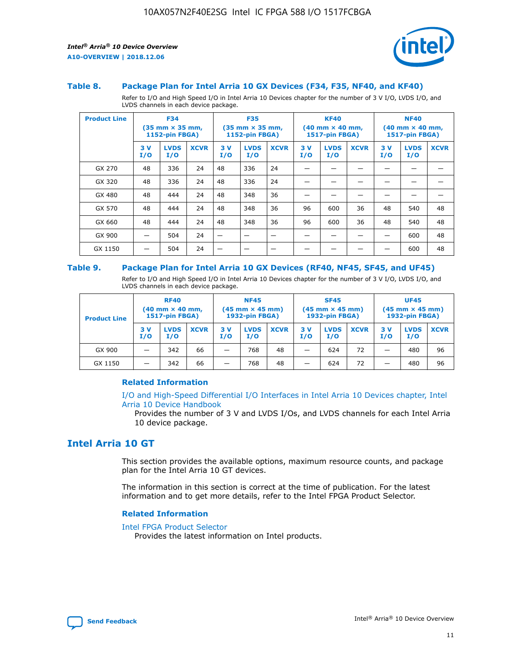

#### **Table 8. Package Plan for Intel Arria 10 GX Devices (F34, F35, NF40, and KF40)**

Refer to I/O and High Speed I/O in Intel Arria 10 Devices chapter for the number of 3 V I/O, LVDS I/O, and LVDS channels in each device package.

| <b>Product Line</b> | <b>F34</b><br>$(35 \text{ mm} \times 35 \text{ mm})$<br>1152-pin FBGA) |                    | <b>F35</b><br>$(35 \text{ mm} \times 35 \text{ mm})$<br><b>1152-pin FBGA)</b> |           | <b>KF40</b><br>$(40$ mm $\times$ 40 mm,<br>1517-pin FBGA) |             |           | <b>NF40</b><br>$(40$ mm $\times$ 40 mm,<br><b>1517-pin FBGA)</b> |             |            |                    |             |
|---------------------|------------------------------------------------------------------------|--------------------|-------------------------------------------------------------------------------|-----------|-----------------------------------------------------------|-------------|-----------|------------------------------------------------------------------|-------------|------------|--------------------|-------------|
|                     | 3V<br>I/O                                                              | <b>LVDS</b><br>I/O | <b>XCVR</b>                                                                   | 3V<br>I/O | <b>LVDS</b><br>I/O                                        | <b>XCVR</b> | 3V<br>I/O | <b>LVDS</b><br>I/O                                               | <b>XCVR</b> | 3 V<br>I/O | <b>LVDS</b><br>I/O | <b>XCVR</b> |
| GX 270              | 48                                                                     | 336                | 24                                                                            | 48        | 336                                                       | 24          |           |                                                                  |             |            |                    |             |
| GX 320              | 48                                                                     | 336                | 24                                                                            | 48        | 336                                                       | 24          |           |                                                                  |             |            |                    |             |
| GX 480              | 48                                                                     | 444                | 24                                                                            | 48        | 348                                                       | 36          |           |                                                                  |             |            |                    |             |
| GX 570              | 48                                                                     | 444                | 24                                                                            | 48        | 348                                                       | 36          | 96        | 600                                                              | 36          | 48         | 540                | 48          |
| GX 660              | 48                                                                     | 444                | 24                                                                            | 48        | 348                                                       | 36          | 96        | 600                                                              | 36          | 48         | 540                | 48          |
| GX 900              |                                                                        | 504                | 24                                                                            | -         |                                                           |             |           |                                                                  |             |            | 600                | 48          |
| GX 1150             |                                                                        | 504                | 24                                                                            |           |                                                           |             |           |                                                                  |             |            | 600                | 48          |

#### **Table 9. Package Plan for Intel Arria 10 GX Devices (RF40, NF45, SF45, and UF45)**

Refer to I/O and High Speed I/O in Intel Arria 10 Devices chapter for the number of 3 V I/O, LVDS I/O, and LVDS channels in each device package.

| <b>Product Line</b> | <b>RF40</b><br>$(40$ mm $\times$ 40 mm,<br>1517-pin FBGA) |                    | <b>NF45</b><br>$(45 \text{ mm} \times 45 \text{ mm})$<br><b>1932-pin FBGA)</b> |            |                    | <b>SF45</b><br>$(45 \text{ mm} \times 45 \text{ mm})$<br><b>1932-pin FBGA)</b> |            |                    | <b>UF45</b><br>$(45 \text{ mm} \times 45 \text{ mm})$<br><b>1932-pin FBGA)</b> |           |                    |             |
|---------------------|-----------------------------------------------------------|--------------------|--------------------------------------------------------------------------------|------------|--------------------|--------------------------------------------------------------------------------|------------|--------------------|--------------------------------------------------------------------------------|-----------|--------------------|-------------|
|                     | 3V<br>I/O                                                 | <b>LVDS</b><br>I/O | <b>XCVR</b>                                                                    | 3 V<br>I/O | <b>LVDS</b><br>I/O | <b>XCVR</b>                                                                    | 3 V<br>I/O | <b>LVDS</b><br>I/O | <b>XCVR</b>                                                                    | 3V<br>I/O | <b>LVDS</b><br>I/O | <b>XCVR</b> |
| GX 900              |                                                           | 342                | 66                                                                             | _          | 768                | 48                                                                             |            | 624                | 72                                                                             |           | 480                | 96          |
| GX 1150             |                                                           | 342                | 66                                                                             | _          | 768                | 48                                                                             |            | 624                | 72                                                                             |           | 480                | 96          |

## **Related Information**

[I/O and High-Speed Differential I/O Interfaces in Intel Arria 10 Devices chapter, Intel](https://www.intel.com/content/www/us/en/programmable/documentation/sam1403482614086.html#sam1403482030321) [Arria 10 Device Handbook](https://www.intel.com/content/www/us/en/programmable/documentation/sam1403482614086.html#sam1403482030321)

Provides the number of 3 V and LVDS I/Os, and LVDS channels for each Intel Arria 10 device package.

# **Intel Arria 10 GT**

This section provides the available options, maximum resource counts, and package plan for the Intel Arria 10 GT devices.

The information in this section is correct at the time of publication. For the latest information and to get more details, refer to the Intel FPGA Product Selector.

#### **Related Information**

#### [Intel FPGA Product Selector](http://www.altera.com/products/selector/psg-selector.html)

Provides the latest information on Intel products.

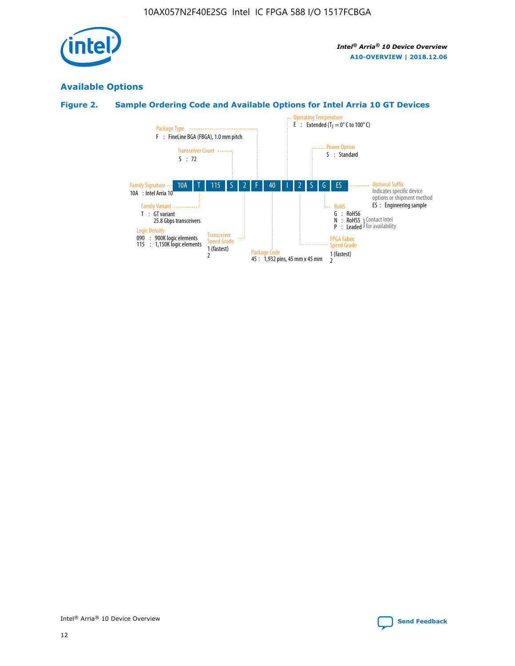

# **Available Options**

# **Figure 2. Sample Ordering Code and Available Options for Intel Arria 10 GT Devices**

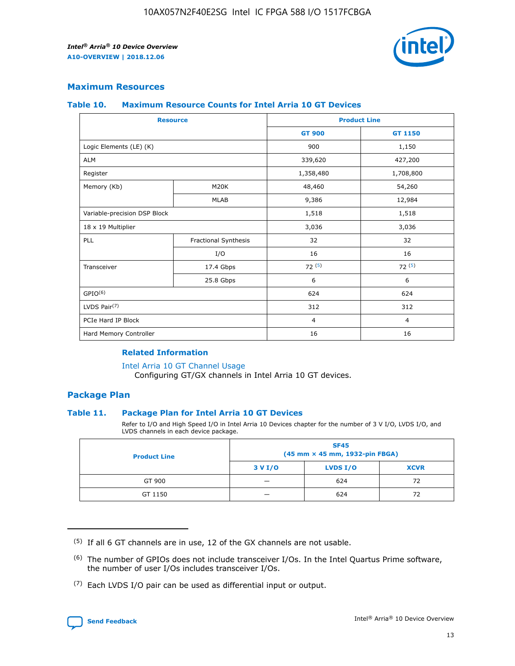

# **Maximum Resources**

#### **Table 10. Maximum Resource Counts for Intel Arria 10 GT Devices**

| <b>Resource</b>              |                      |                | <b>Product Line</b> |  |
|------------------------------|----------------------|----------------|---------------------|--|
|                              |                      | <b>GT 900</b>  | GT 1150             |  |
| Logic Elements (LE) (K)      |                      | 900            | 1,150               |  |
| <b>ALM</b>                   |                      | 339,620        | 427,200             |  |
| Register                     |                      | 1,358,480      | 1,708,800           |  |
| Memory (Kb)                  | M <sub>20</sub> K    | 48,460         | 54,260              |  |
|                              | <b>MLAB</b>          | 9,386          | 12,984              |  |
| Variable-precision DSP Block |                      | 1,518          | 1,518               |  |
| 18 x 19 Multiplier           |                      | 3,036          | 3,036               |  |
| PLL                          | Fractional Synthesis | 32             | 32                  |  |
|                              | I/O                  | 16             | 16                  |  |
| Transceiver                  | 17.4 Gbps            | 72(5)          | 72(5)               |  |
|                              | 25.8 Gbps            | 6              | 6                   |  |
| GPIO <sup>(6)</sup>          |                      | 624            | 624                 |  |
| LVDS Pair $(7)$              |                      | 312            | 312                 |  |
| PCIe Hard IP Block           |                      | $\overline{4}$ | $\overline{4}$      |  |
| Hard Memory Controller       |                      | 16             | 16                  |  |

## **Related Information**

#### [Intel Arria 10 GT Channel Usage](https://www.intel.com/content/www/us/en/programmable/documentation/nik1398707230472.html#nik1398707008178)

Configuring GT/GX channels in Intel Arria 10 GT devices.

# **Package Plan**

## **Table 11. Package Plan for Intel Arria 10 GT Devices**

Refer to I/O and High Speed I/O in Intel Arria 10 Devices chapter for the number of 3 V I/O, LVDS I/O, and LVDS channels in each device package.

| <b>Product Line</b> | <b>SF45</b><br>(45 mm × 45 mm, 1932-pin FBGA) |                 |             |  |  |  |
|---------------------|-----------------------------------------------|-----------------|-------------|--|--|--|
|                     | 3 V I/O                                       | <b>LVDS I/O</b> | <b>XCVR</b> |  |  |  |
| GT 900              |                                               | 624             | 72          |  |  |  |
| GT 1150             |                                               | 624             | 72          |  |  |  |

<sup>(7)</sup> Each LVDS I/O pair can be used as differential input or output.



 $(5)$  If all 6 GT channels are in use, 12 of the GX channels are not usable.

<sup>(6)</sup> The number of GPIOs does not include transceiver I/Os. In the Intel Quartus Prime software, the number of user I/Os includes transceiver I/Os.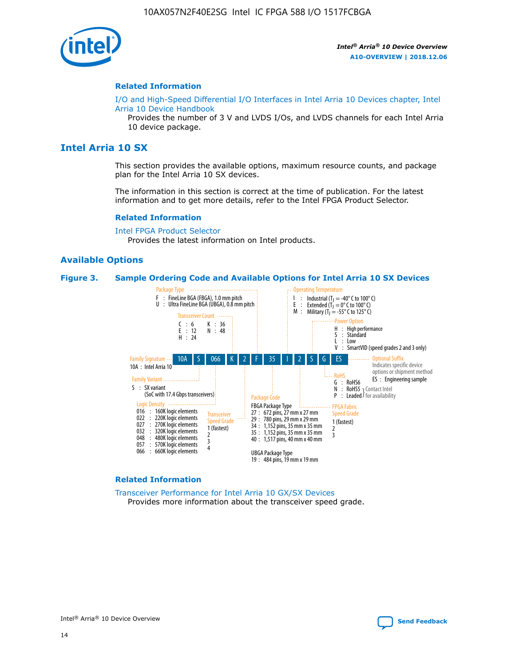

#### **Related Information**

[I/O and High-Speed Differential I/O Interfaces in Intel Arria 10 Devices chapter, Intel](https://www.intel.com/content/www/us/en/programmable/documentation/sam1403482614086.html#sam1403482030321) [Arria 10 Device Handbook](https://www.intel.com/content/www/us/en/programmable/documentation/sam1403482614086.html#sam1403482030321)

Provides the number of 3 V and LVDS I/Os, and LVDS channels for each Intel Arria 10 device package.

# **Intel Arria 10 SX**

This section provides the available options, maximum resource counts, and package plan for the Intel Arria 10 SX devices.

The information in this section is correct at the time of publication. For the latest information and to get more details, refer to the Intel FPGA Product Selector.

#### **Related Information**

[Intel FPGA Product Selector](http://www.altera.com/products/selector/psg-selector.html) Provides the latest information on Intel products.

#### **Available Options**

#### **Figure 3. Sample Ordering Code and Available Options for Intel Arria 10 SX Devices**



#### **Related Information**

[Transceiver Performance for Intel Arria 10 GX/SX Devices](https://www.intel.com/content/www/us/en/programmable/documentation/mcn1413182292568.html#mcn1413213965502) Provides more information about the transceiver speed grade.

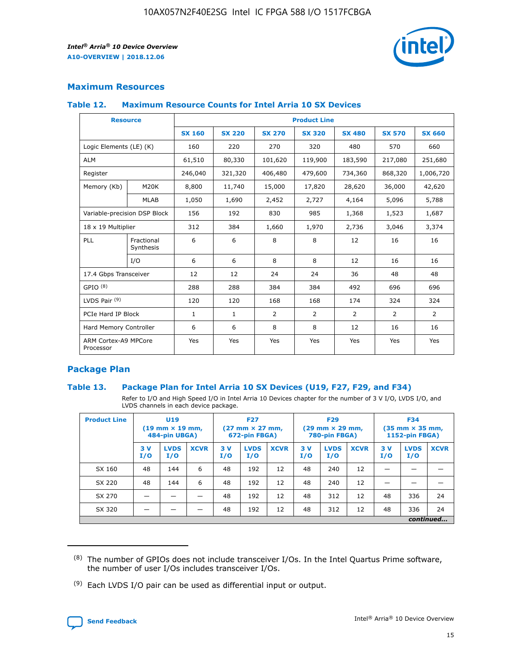

# **Maximum Resources**

## **Table 12. Maximum Resource Counts for Intel Arria 10 SX Devices**

| <b>Resource</b>                   |                         | <b>Product Line</b> |               |                |                |                |                |                |  |  |  |
|-----------------------------------|-------------------------|---------------------|---------------|----------------|----------------|----------------|----------------|----------------|--|--|--|
|                                   |                         | <b>SX 160</b>       | <b>SX 220</b> | <b>SX 270</b>  | <b>SX 320</b>  | <b>SX 480</b>  | <b>SX 570</b>  | <b>SX 660</b>  |  |  |  |
| Logic Elements (LE) (K)           |                         | 160                 | 220           | 270            | 320            | 480            | 570            | 660            |  |  |  |
| <b>ALM</b>                        |                         | 61,510              | 80,330        | 101,620        | 119,900        | 183,590        | 217,080        | 251,680        |  |  |  |
| Register                          |                         | 246,040             | 321,320       | 406,480        | 479,600        | 734,360        | 868,320        | 1,006,720      |  |  |  |
| Memory (Kb)                       | M <sub>20</sub> K       | 8,800               | 11,740        | 15,000         | 17,820         | 28,620         | 36,000         | 42,620         |  |  |  |
|                                   | <b>MLAB</b>             | 1,050               | 1,690         | 2,452          | 2,727          | 4,164          | 5,096          | 5,788          |  |  |  |
| Variable-precision DSP Block      |                         | 156                 | 192           | 830            | 985            | 1,368          | 1,523          | 1,687          |  |  |  |
| 18 x 19 Multiplier                |                         | 312                 | 384           | 1,660          | 1,970          | 2,736          | 3,046          | 3,374          |  |  |  |
| PLL                               | Fractional<br>Synthesis | 6                   | 6             | 8              | 8              | 12             | 16             | 16             |  |  |  |
|                                   | I/O                     | 6                   | 6             | 8              | 8              | 12             | 16             | 16             |  |  |  |
| 17.4 Gbps Transceiver             |                         | 12                  | 12            | 24             | 24             | 36             | 48             | 48             |  |  |  |
| GPIO <sup>(8)</sup>               |                         | 288                 | 288           | 384            | 384            | 492            | 696            | 696            |  |  |  |
| LVDS Pair $(9)$                   |                         | 120                 | 120           | 168            | 168            | 174            | 324            | 324            |  |  |  |
| PCIe Hard IP Block                |                         | $\mathbf{1}$        | $\mathbf{1}$  | $\overline{2}$ | $\overline{2}$ | $\overline{2}$ | $\overline{2}$ | $\overline{2}$ |  |  |  |
| Hard Memory Controller            |                         | 6                   | 6             | 8              | 8              | 12             | 16             | 16             |  |  |  |
| ARM Cortex-A9 MPCore<br>Processor |                         | Yes                 | Yes           | Yes            | Yes            | Yes            | Yes            | <b>Yes</b>     |  |  |  |

# **Package Plan**

## **Table 13. Package Plan for Intel Arria 10 SX Devices (U19, F27, F29, and F34)**

Refer to I/O and High Speed I/O in Intel Arria 10 Devices chapter for the number of 3 V I/O, LVDS I/O, and LVDS channels in each device package.

| <b>Product Line</b> | <b>U19</b><br>$(19 \text{ mm} \times 19 \text{ mm})$<br>484-pin UBGA) |                    |             | <b>F27</b><br>$(27 \text{ mm} \times 27 \text{ mm})$<br>672-pin FBGA) |                    | <b>F29</b><br>$(29 \text{ mm} \times 29 \text{ mm})$<br>780-pin FBGA) |           |                    | <b>F34</b><br>$(35 \text{ mm} \times 35 \text{ mm})$<br><b>1152-pin FBGA)</b> |           |                    |             |
|---------------------|-----------------------------------------------------------------------|--------------------|-------------|-----------------------------------------------------------------------|--------------------|-----------------------------------------------------------------------|-----------|--------------------|-------------------------------------------------------------------------------|-----------|--------------------|-------------|
|                     | 3V<br>I/O                                                             | <b>LVDS</b><br>I/O | <b>XCVR</b> | 3V<br>I/O                                                             | <b>LVDS</b><br>I/O | <b>XCVR</b>                                                           | 3V<br>I/O | <b>LVDS</b><br>I/O | <b>XCVR</b>                                                                   | 3V<br>I/O | <b>LVDS</b><br>I/O | <b>XCVR</b> |
| SX 160              | 48                                                                    | 144                | 6           | 48                                                                    | 192                | 12                                                                    | 48        | 240                | 12                                                                            | -         |                    |             |
| SX 220              | 48                                                                    | 144                | 6           | 48                                                                    | 192                | 12                                                                    | 48        | 240                | 12                                                                            |           |                    |             |
| SX 270              |                                                                       |                    |             | 48                                                                    | 192                | 12                                                                    | 48        | 312                | 12                                                                            | 48        | 336                | 24          |
| SX 320              |                                                                       |                    |             | 48                                                                    | 192                | 12                                                                    | 48        | 312                | 12                                                                            | 48        | 336                | 24          |
|                     | continued                                                             |                    |             |                                                                       |                    |                                                                       |           |                    |                                                                               |           |                    |             |

 $(8)$  The number of GPIOs does not include transceiver I/Os. In the Intel Quartus Prime software, the number of user I/Os includes transceiver I/Os.

 $(9)$  Each LVDS I/O pair can be used as differential input or output.

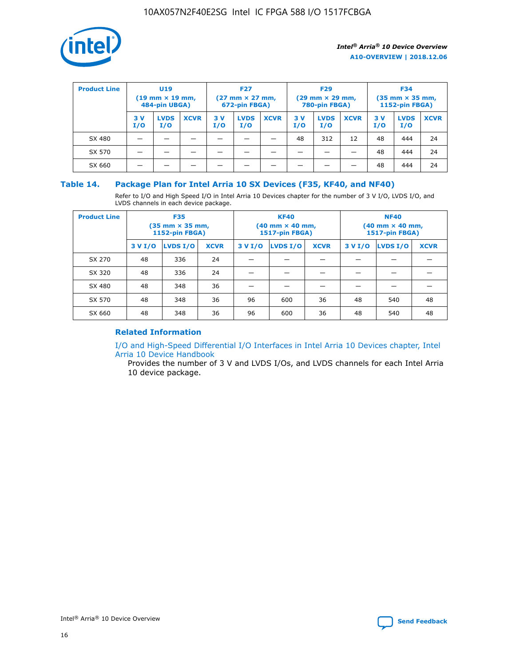

| <b>Product Line</b> | U <sub>19</sub><br>$(19 \text{ mm} \times 19 \text{ mm})$<br>484-pin UBGA) |                    | <b>F27</b><br>$(27 \text{ mm} \times 27 \text{ mm})$<br>672-pin FBGA) |            | <b>F29</b><br>$(29 \text{ mm} \times 29 \text{ mm})$<br>780-pin FBGA) |             |           | <b>F34</b><br>$(35 \text{ mm} \times 35 \text{ mm})$<br><b>1152-pin FBGA)</b> |             |           |                    |             |
|---------------------|----------------------------------------------------------------------------|--------------------|-----------------------------------------------------------------------|------------|-----------------------------------------------------------------------|-------------|-----------|-------------------------------------------------------------------------------|-------------|-----------|--------------------|-------------|
|                     | 3 V<br>I/O                                                                 | <b>LVDS</b><br>I/O | <b>XCVR</b>                                                           | 3 V<br>I/O | <b>LVDS</b><br>I/O                                                    | <b>XCVR</b> | 3V<br>I/O | <b>LVDS</b><br>I/O                                                            | <b>XCVR</b> | 3V<br>I/O | <b>LVDS</b><br>I/O | <b>XCVR</b> |
| SX 480              |                                                                            |                    |                                                                       |            |                                                                       |             | 48        | 312                                                                           | 12          | 48        | 444                | 24          |
| SX 570              |                                                                            |                    |                                                                       |            |                                                                       |             |           |                                                                               |             | 48        | 444                | 24          |
| SX 660              |                                                                            |                    |                                                                       |            |                                                                       |             |           |                                                                               |             | 48        | 444                | 24          |

## **Table 14. Package Plan for Intel Arria 10 SX Devices (F35, KF40, and NF40)**

Refer to I/O and High Speed I/O in Intel Arria 10 Devices chapter for the number of 3 V I/O, LVDS I/O, and LVDS channels in each device package.

| <b>Product Line</b> | <b>F35</b><br>$(35 \text{ mm} \times 35 \text{ mm})$<br><b>1152-pin FBGA)</b> |          |             |                                           | <b>KF40</b><br>(40 mm × 40 mm,<br>1517-pin FBGA) |    | <b>NF40</b><br>$(40 \text{ mm} \times 40 \text{ mm})$<br>1517-pin FBGA) |          |             |  |
|---------------------|-------------------------------------------------------------------------------|----------|-------------|-------------------------------------------|--------------------------------------------------|----|-------------------------------------------------------------------------|----------|-------------|--|
|                     | 3 V I/O                                                                       | LVDS I/O | <b>XCVR</b> | <b>LVDS I/O</b><br><b>XCVR</b><br>3 V I/O |                                                  |    | 3 V I/O                                                                 | LVDS I/O | <b>XCVR</b> |  |
| SX 270              | 48                                                                            | 336      | 24          |                                           |                                                  |    |                                                                         |          |             |  |
| SX 320              | 48                                                                            | 336      | 24          |                                           |                                                  |    |                                                                         |          |             |  |
| SX 480              | 48                                                                            | 348      | 36          |                                           |                                                  |    |                                                                         |          |             |  |
| SX 570              | 48                                                                            | 348      | 36          | 96                                        | 600                                              | 36 | 48                                                                      | 540      | 48          |  |
| SX 660              | 48                                                                            | 348      | 36          | 96                                        | 600                                              | 36 | 48                                                                      | 540      | 48          |  |

# **Related Information**

[I/O and High-Speed Differential I/O Interfaces in Intel Arria 10 Devices chapter, Intel](https://www.intel.com/content/www/us/en/programmable/documentation/sam1403482614086.html#sam1403482030321) [Arria 10 Device Handbook](https://www.intel.com/content/www/us/en/programmable/documentation/sam1403482614086.html#sam1403482030321)

Provides the number of 3 V and LVDS I/Os, and LVDS channels for each Intel Arria 10 device package.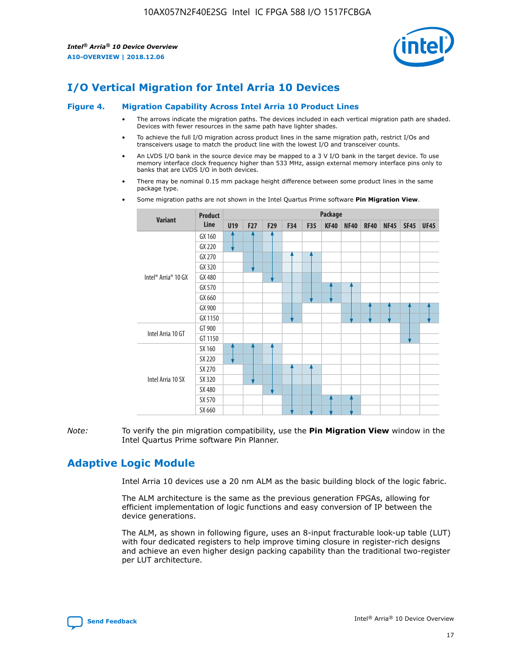

# **I/O Vertical Migration for Intel Arria 10 Devices**

#### **Figure 4. Migration Capability Across Intel Arria 10 Product Lines**

- The arrows indicate the migration paths. The devices included in each vertical migration path are shaded. Devices with fewer resources in the same path have lighter shades.
- To achieve the full I/O migration across product lines in the same migration path, restrict I/Os and transceivers usage to match the product line with the lowest I/O and transceiver counts.
- An LVDS I/O bank in the source device may be mapped to a 3 V I/O bank in the target device. To use memory interface clock frequency higher than 533 MHz, assign external memory interface pins only to banks that are LVDS I/O in both devices.
- There may be nominal 0.15 mm package height difference between some product lines in the same package type.
	- **Variant Product Line Package U19 F27 F29 F34 F35 KF40 NF40 RF40 NF45 SF45 UF45** Intel® Arria® 10 GX GX 160 GX 220 GX 270 GX 320 GX 480 GX 570 GX 660 GX 900 GX 1150 Intel Arria 10 GT GT 900 GT 1150 Intel Arria 10 SX SX 160 SX 220 SX 270 SX 320 SX 480 SX 570 SX 660
- Some migration paths are not shown in the Intel Quartus Prime software **Pin Migration View**.

*Note:* To verify the pin migration compatibility, use the **Pin Migration View** window in the Intel Quartus Prime software Pin Planner.

# **Adaptive Logic Module**

Intel Arria 10 devices use a 20 nm ALM as the basic building block of the logic fabric.

The ALM architecture is the same as the previous generation FPGAs, allowing for efficient implementation of logic functions and easy conversion of IP between the device generations.

The ALM, as shown in following figure, uses an 8-input fracturable look-up table (LUT) with four dedicated registers to help improve timing closure in register-rich designs and achieve an even higher design packing capability than the traditional two-register per LUT architecture.

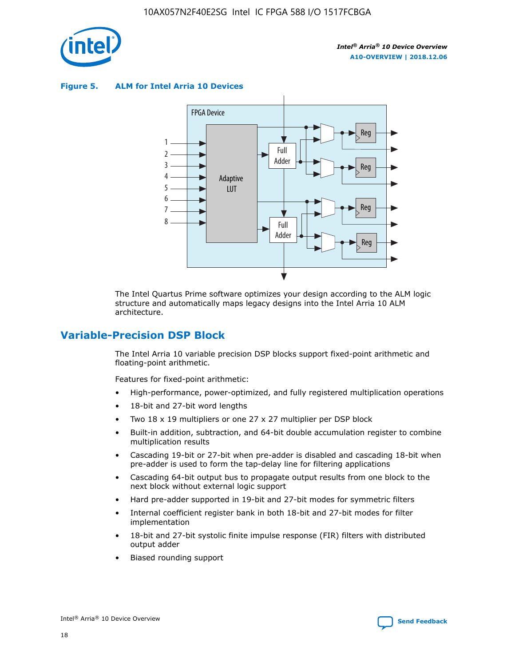

**Figure 5. ALM for Intel Arria 10 Devices**



The Intel Quartus Prime software optimizes your design according to the ALM logic structure and automatically maps legacy designs into the Intel Arria 10 ALM architecture.

# **Variable-Precision DSP Block**

The Intel Arria 10 variable precision DSP blocks support fixed-point arithmetic and floating-point arithmetic.

Features for fixed-point arithmetic:

- High-performance, power-optimized, and fully registered multiplication operations
- 18-bit and 27-bit word lengths
- Two 18 x 19 multipliers or one 27 x 27 multiplier per DSP block
- Built-in addition, subtraction, and 64-bit double accumulation register to combine multiplication results
- Cascading 19-bit or 27-bit when pre-adder is disabled and cascading 18-bit when pre-adder is used to form the tap-delay line for filtering applications
- Cascading 64-bit output bus to propagate output results from one block to the next block without external logic support
- Hard pre-adder supported in 19-bit and 27-bit modes for symmetric filters
- Internal coefficient register bank in both 18-bit and 27-bit modes for filter implementation
- 18-bit and 27-bit systolic finite impulse response (FIR) filters with distributed output adder
- Biased rounding support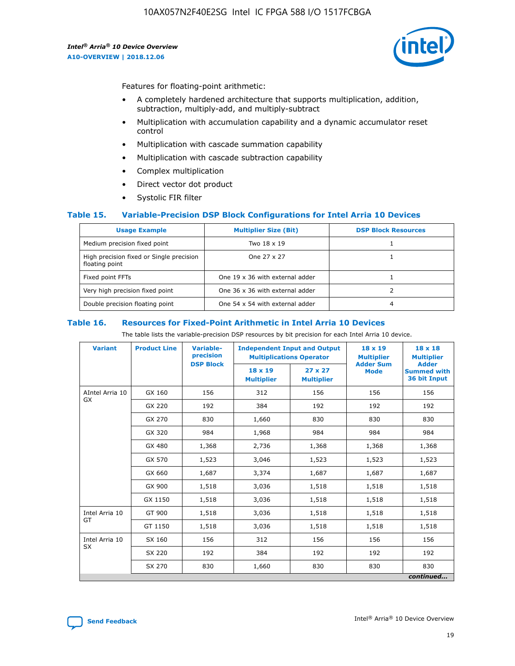

Features for floating-point arithmetic:

- A completely hardened architecture that supports multiplication, addition, subtraction, multiply-add, and multiply-subtract
- Multiplication with accumulation capability and a dynamic accumulator reset control
- Multiplication with cascade summation capability
- Multiplication with cascade subtraction capability
- Complex multiplication
- Direct vector dot product
- Systolic FIR filter

## **Table 15. Variable-Precision DSP Block Configurations for Intel Arria 10 Devices**

| <b>Usage Example</b>                                       | <b>Multiplier Size (Bit)</b>    | <b>DSP Block Resources</b> |
|------------------------------------------------------------|---------------------------------|----------------------------|
| Medium precision fixed point                               | Two 18 x 19                     |                            |
| High precision fixed or Single precision<br>floating point | One 27 x 27                     |                            |
| Fixed point FFTs                                           | One 19 x 36 with external adder |                            |
| Very high precision fixed point                            | One 36 x 36 with external adder |                            |
| Double precision floating point                            | One 54 x 54 with external adder | 4                          |

#### **Table 16. Resources for Fixed-Point Arithmetic in Intel Arria 10 Devices**

The table lists the variable-precision DSP resources by bit precision for each Intel Arria 10 device.

| <b>Variant</b>  | <b>Product Line</b> | Variable-<br>precision<br><b>DSP Block</b> | <b>Independent Input and Output</b><br><b>Multiplications Operator</b> |                                     | 18 x 19<br><b>Multiplier</b><br><b>Adder Sum</b> | $18 \times 18$<br><b>Multiplier</b><br><b>Adder</b> |
|-----------------|---------------------|--------------------------------------------|------------------------------------------------------------------------|-------------------------------------|--------------------------------------------------|-----------------------------------------------------|
|                 |                     |                                            | 18 x 19<br><b>Multiplier</b>                                           | $27 \times 27$<br><b>Multiplier</b> | <b>Mode</b>                                      | <b>Summed with</b><br>36 bit Input                  |
| AIntel Arria 10 | GX 160              | 156                                        | 312                                                                    | 156                                 | 156                                              | 156                                                 |
| GX              | GX 220              | 192                                        | 384                                                                    | 192                                 | 192                                              | 192                                                 |
|                 | GX 270              | 830                                        | 1,660                                                                  | 830                                 | 830                                              | 830                                                 |
|                 | GX 320              | 984                                        | 1,968                                                                  | 984                                 | 984                                              | 984                                                 |
|                 | GX 480              | 1,368                                      | 2,736                                                                  | 1,368                               | 1,368                                            | 1,368                                               |
|                 | GX 570              | 1,523                                      | 3,046                                                                  | 1,523                               | 1,523                                            | 1,523                                               |
|                 | GX 660              | 1,687                                      | 3,374                                                                  | 1,687                               | 1,687                                            | 1,687                                               |
|                 | GX 900              | 1,518                                      | 3,036                                                                  | 1,518                               | 1,518                                            | 1,518                                               |
|                 | GX 1150             | 1,518                                      | 3,036                                                                  | 1,518                               | 1,518                                            | 1,518                                               |
| Intel Arria 10  | GT 900              | 1,518                                      | 3,036                                                                  | 1,518                               | 1,518                                            | 1,518                                               |
| GT              | GT 1150             | 1,518                                      | 3,036                                                                  | 1,518                               | 1,518                                            | 1,518                                               |
| Intel Arria 10  | SX 160              | 156                                        | 312                                                                    | 156                                 | 156                                              | 156                                                 |
| <b>SX</b>       | SX 220              | 192                                        | 384                                                                    | 192                                 | 192                                              | 192                                                 |
|                 | SX 270              | 830                                        | 1,660                                                                  | 830                                 | 830                                              | 830                                                 |
|                 |                     |                                            |                                                                        |                                     |                                                  | continued                                           |

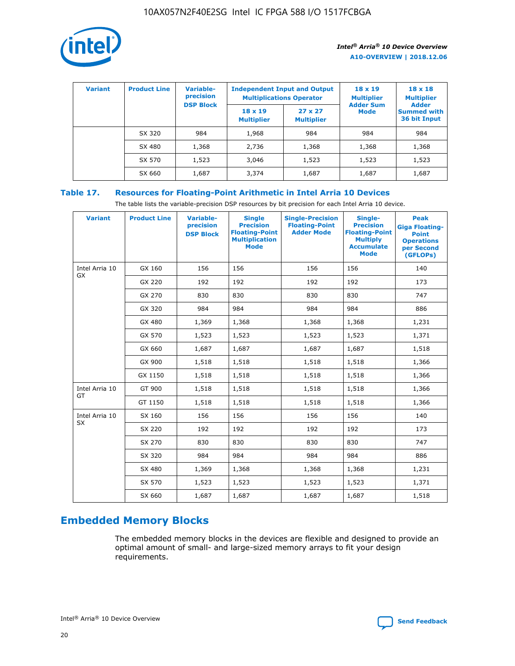

| <b>Variant</b> | <b>Product Line</b> | Variable-<br>precision | <b>Independent Input and Output</b><br><b>Multiplications Operator</b> |                                     | $18 \times 19$<br><b>Multiplier</b> | $18 \times 18$<br><b>Multiplier</b>                |
|----------------|---------------------|------------------------|------------------------------------------------------------------------|-------------------------------------|-------------------------------------|----------------------------------------------------|
|                |                     | <b>DSP Block</b>       | $18 \times 19$<br><b>Multiplier</b>                                    | $27 \times 27$<br><b>Multiplier</b> | <b>Adder Sum</b><br><b>Mode</b>     | <b>Adder</b><br><b>Summed with</b><br>36 bit Input |
|                | SX 320              | 984                    | 1,968                                                                  | 984                                 | 984                                 | 984                                                |
|                | SX 480              | 1,368                  | 2,736                                                                  | 1,368                               | 1,368                               | 1,368                                              |
|                | SX 570              | 1,523                  | 3,046                                                                  | 1,523                               | 1,523                               | 1,523                                              |
|                | SX 660              | 1,687                  | 3,374                                                                  | 1,687                               | 1,687                               | 1,687                                              |

# **Table 17. Resources for Floating-Point Arithmetic in Intel Arria 10 Devices**

The table lists the variable-precision DSP resources by bit precision for each Intel Arria 10 device.

| <b>Variant</b> | <b>Product Line</b> | <b>Variable-</b><br>precision<br><b>DSP Block</b> | <b>Single</b><br><b>Precision</b><br><b>Floating-Point</b><br><b>Multiplication</b><br><b>Mode</b> | <b>Single-Precision</b><br><b>Floating-Point</b><br><b>Adder Mode</b> | Single-<br><b>Precision</b><br><b>Floating-Point</b><br><b>Multiply</b><br><b>Accumulate</b><br><b>Mode</b> | <b>Peak</b><br><b>Giga Floating-</b><br><b>Point</b><br><b>Operations</b><br>per Second<br>(GFLOPs) |
|----------------|---------------------|---------------------------------------------------|----------------------------------------------------------------------------------------------------|-----------------------------------------------------------------------|-------------------------------------------------------------------------------------------------------------|-----------------------------------------------------------------------------------------------------|
| Intel Arria 10 | GX 160              | 156                                               | 156                                                                                                | 156                                                                   | 156                                                                                                         | 140                                                                                                 |
| GX             | GX 220              | 192                                               | 192                                                                                                | 192                                                                   | 192                                                                                                         | 173                                                                                                 |
|                | GX 270              | 830                                               | 830                                                                                                | 830                                                                   | 830                                                                                                         | 747                                                                                                 |
|                | GX 320              | 984                                               | 984                                                                                                | 984                                                                   | 984                                                                                                         | 886                                                                                                 |
|                | GX 480              | 1,369                                             | 1,368                                                                                              | 1,368                                                                 | 1,368                                                                                                       | 1,231                                                                                               |
|                | GX 570              | 1,523                                             | 1,523                                                                                              | 1,523                                                                 | 1,523                                                                                                       | 1,371                                                                                               |
|                | GX 660              | 1,687                                             | 1,687                                                                                              | 1,687                                                                 | 1,687                                                                                                       | 1,518                                                                                               |
|                | GX 900              | 1,518                                             | 1,518                                                                                              | 1,518                                                                 | 1,518                                                                                                       | 1,366                                                                                               |
|                | GX 1150             | 1,518                                             | 1,518                                                                                              | 1,518                                                                 | 1,518                                                                                                       | 1,366                                                                                               |
| Intel Arria 10 | GT 900              | 1,518                                             | 1,518                                                                                              | 1,518                                                                 | 1,518                                                                                                       | 1,366                                                                                               |
| GT             | GT 1150             | 1,518                                             | 1,518                                                                                              | 1,518                                                                 | 1,518                                                                                                       | 1,366                                                                                               |
| Intel Arria 10 | SX 160              | 156                                               | 156                                                                                                | 156                                                                   | 156                                                                                                         | 140                                                                                                 |
| <b>SX</b>      | SX 220              | 192                                               | 192                                                                                                | 192                                                                   | 192                                                                                                         | 173                                                                                                 |
|                | SX 270              | 830                                               | 830                                                                                                | 830                                                                   | 830                                                                                                         | 747                                                                                                 |
|                | SX 320              | 984                                               | 984                                                                                                | 984                                                                   | 984                                                                                                         | 886                                                                                                 |
|                | SX 480              | 1,369                                             | 1,368                                                                                              | 1,368                                                                 | 1,368                                                                                                       | 1,231                                                                                               |
|                | SX 570              | 1,523                                             | 1,523                                                                                              | 1,523                                                                 | 1,523                                                                                                       | 1,371                                                                                               |
|                | SX 660              | 1,687                                             | 1,687                                                                                              | 1,687                                                                 | 1,687                                                                                                       | 1,518                                                                                               |

# **Embedded Memory Blocks**

The embedded memory blocks in the devices are flexible and designed to provide an optimal amount of small- and large-sized memory arrays to fit your design requirements.

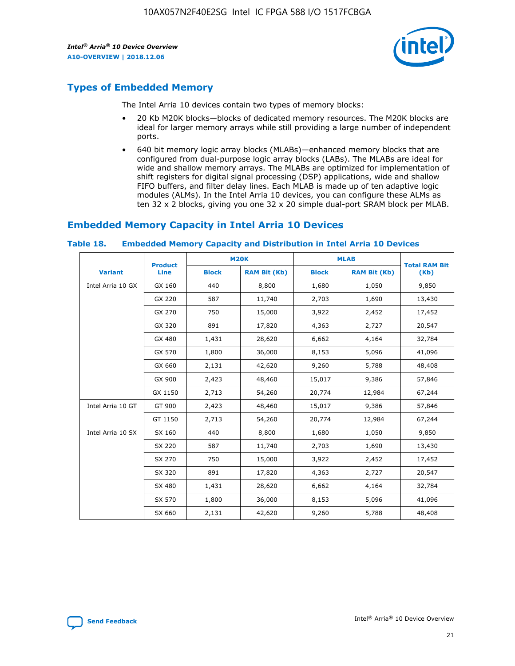

# **Types of Embedded Memory**

The Intel Arria 10 devices contain two types of memory blocks:

- 20 Kb M20K blocks—blocks of dedicated memory resources. The M20K blocks are ideal for larger memory arrays while still providing a large number of independent ports.
- 640 bit memory logic array blocks (MLABs)—enhanced memory blocks that are configured from dual-purpose logic array blocks (LABs). The MLABs are ideal for wide and shallow memory arrays. The MLABs are optimized for implementation of shift registers for digital signal processing (DSP) applications, wide and shallow FIFO buffers, and filter delay lines. Each MLAB is made up of ten adaptive logic modules (ALMs). In the Intel Arria 10 devices, you can configure these ALMs as ten 32 x 2 blocks, giving you one 32 x 20 simple dual-port SRAM block per MLAB.

# **Embedded Memory Capacity in Intel Arria 10 Devices**

|                   | <b>Product</b> |              | <b>M20K</b>         |              | <b>MLAB</b>         | <b>Total RAM Bit</b> |
|-------------------|----------------|--------------|---------------------|--------------|---------------------|----------------------|
| <b>Variant</b>    | Line           | <b>Block</b> | <b>RAM Bit (Kb)</b> | <b>Block</b> | <b>RAM Bit (Kb)</b> | (Kb)                 |
| Intel Arria 10 GX | GX 160         | 440          | 8,800               | 1,680        | 1,050               | 9,850                |
|                   | GX 220         | 587          | 11,740              | 2,703        | 1,690               | 13,430               |
|                   | GX 270         | 750          | 15,000              | 3,922        | 2,452               | 17,452               |
|                   | GX 320         | 891          | 17,820              | 4,363        | 2,727               | 20,547               |
|                   | GX 480         | 1,431        | 28,620              | 6,662        | 4,164               | 32,784               |
|                   | GX 570         | 1,800        | 36,000              | 8,153        | 5,096               | 41,096               |
|                   | GX 660         | 2,131        | 42,620              | 9,260        | 5,788               | 48,408               |
|                   | GX 900         | 2,423        | 48,460              | 15,017       | 9,386               | 57,846               |
|                   | GX 1150        | 2,713        | 54,260              | 20,774       | 12,984              | 67,244               |
| Intel Arria 10 GT | GT 900         | 2,423        | 48,460              | 15,017       | 9,386               | 57,846               |
|                   | GT 1150        | 2,713        | 54,260              | 20,774       | 12,984              | 67,244               |
| Intel Arria 10 SX | SX 160         | 440          | 8,800               | 1,680        | 1,050               | 9,850                |
|                   | SX 220         | 587          | 11,740              | 2,703        | 1,690               | 13,430               |
|                   | SX 270         | 750          | 15,000              | 3,922        | 2,452               | 17,452               |
|                   | SX 320         | 891          | 17,820              | 4,363        | 2,727               | 20,547               |
|                   | SX 480         | 1,431        | 28,620              | 6,662        | 4,164               | 32,784               |
|                   | SX 570         | 1,800        | 36,000              | 8,153        | 5,096               | 41,096               |
|                   | SX 660         | 2,131        | 42,620              | 9,260        | 5,788               | 48,408               |

#### **Table 18. Embedded Memory Capacity and Distribution in Intel Arria 10 Devices**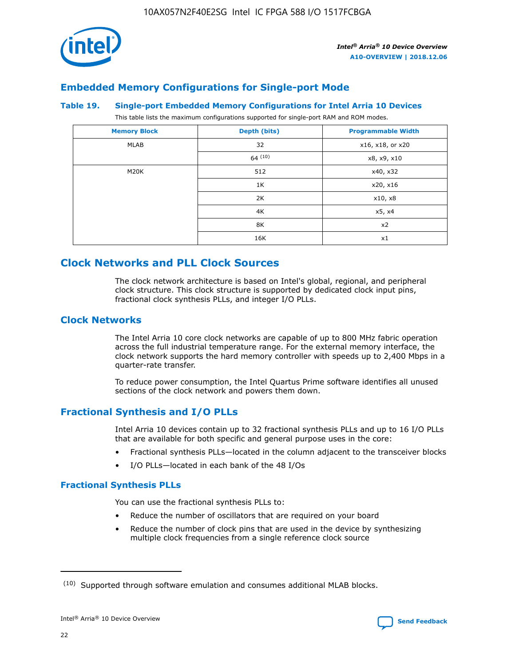

# **Embedded Memory Configurations for Single-port Mode**

#### **Table 19. Single-port Embedded Memory Configurations for Intel Arria 10 Devices**

This table lists the maximum configurations supported for single-port RAM and ROM modes.

| <b>Memory Block</b> | Depth (bits) | <b>Programmable Width</b> |
|---------------------|--------------|---------------------------|
| MLAB                | 32           | x16, x18, or x20          |
|                     | 64(10)       | x8, x9, x10               |
| M20K                | 512          | x40, x32                  |
|                     | 1K           | x20, x16                  |
|                     | 2K           | x10, x8                   |
|                     | 4K           | x5, x4                    |
|                     | 8K           | x2                        |
|                     | 16K          | x1                        |

# **Clock Networks and PLL Clock Sources**

The clock network architecture is based on Intel's global, regional, and peripheral clock structure. This clock structure is supported by dedicated clock input pins, fractional clock synthesis PLLs, and integer I/O PLLs.

# **Clock Networks**

The Intel Arria 10 core clock networks are capable of up to 800 MHz fabric operation across the full industrial temperature range. For the external memory interface, the clock network supports the hard memory controller with speeds up to 2,400 Mbps in a quarter-rate transfer.

To reduce power consumption, the Intel Quartus Prime software identifies all unused sections of the clock network and powers them down.

# **Fractional Synthesis and I/O PLLs**

Intel Arria 10 devices contain up to 32 fractional synthesis PLLs and up to 16 I/O PLLs that are available for both specific and general purpose uses in the core:

- Fractional synthesis PLLs—located in the column adjacent to the transceiver blocks
- I/O PLLs—located in each bank of the 48 I/Os

# **Fractional Synthesis PLLs**

You can use the fractional synthesis PLLs to:

- Reduce the number of oscillators that are required on your board
- Reduce the number of clock pins that are used in the device by synthesizing multiple clock frequencies from a single reference clock source

<sup>(10)</sup> Supported through software emulation and consumes additional MLAB blocks.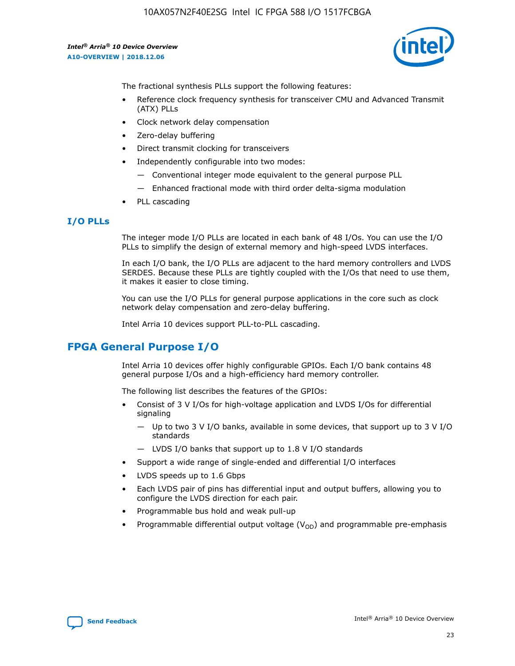

The fractional synthesis PLLs support the following features:

- Reference clock frequency synthesis for transceiver CMU and Advanced Transmit (ATX) PLLs
- Clock network delay compensation
- Zero-delay buffering
- Direct transmit clocking for transceivers
- Independently configurable into two modes:
	- Conventional integer mode equivalent to the general purpose PLL
	- Enhanced fractional mode with third order delta-sigma modulation
- PLL cascading

## **I/O PLLs**

The integer mode I/O PLLs are located in each bank of 48 I/Os. You can use the I/O PLLs to simplify the design of external memory and high-speed LVDS interfaces.

In each I/O bank, the I/O PLLs are adjacent to the hard memory controllers and LVDS SERDES. Because these PLLs are tightly coupled with the I/Os that need to use them, it makes it easier to close timing.

You can use the I/O PLLs for general purpose applications in the core such as clock network delay compensation and zero-delay buffering.

Intel Arria 10 devices support PLL-to-PLL cascading.

# **FPGA General Purpose I/O**

Intel Arria 10 devices offer highly configurable GPIOs. Each I/O bank contains 48 general purpose I/Os and a high-efficiency hard memory controller.

The following list describes the features of the GPIOs:

- Consist of 3 V I/Os for high-voltage application and LVDS I/Os for differential signaling
	- Up to two 3 V I/O banks, available in some devices, that support up to 3 V I/O standards
	- LVDS I/O banks that support up to 1.8 V I/O standards
- Support a wide range of single-ended and differential I/O interfaces
- LVDS speeds up to 1.6 Gbps
- Each LVDS pair of pins has differential input and output buffers, allowing you to configure the LVDS direction for each pair.
- Programmable bus hold and weak pull-up
- Programmable differential output voltage  $(V_{OD})$  and programmable pre-emphasis

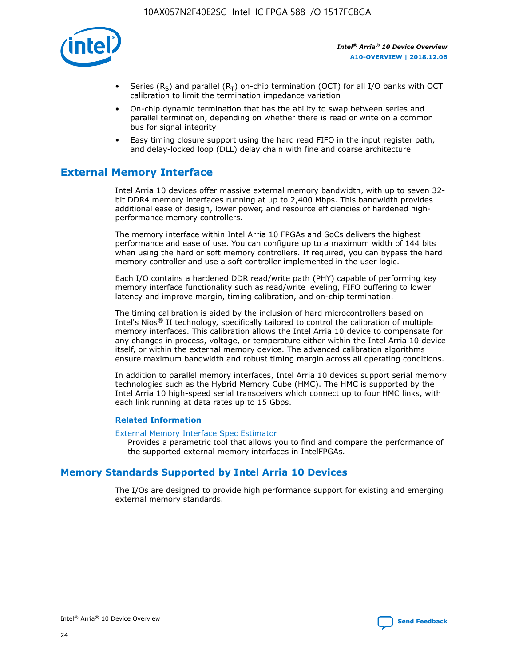

- Series (R<sub>S</sub>) and parallel (R<sub>T</sub>) on-chip termination (OCT) for all I/O banks with OCT calibration to limit the termination impedance variation
- On-chip dynamic termination that has the ability to swap between series and parallel termination, depending on whether there is read or write on a common bus for signal integrity
- Easy timing closure support using the hard read FIFO in the input register path, and delay-locked loop (DLL) delay chain with fine and coarse architecture

# **External Memory Interface**

Intel Arria 10 devices offer massive external memory bandwidth, with up to seven 32 bit DDR4 memory interfaces running at up to 2,400 Mbps. This bandwidth provides additional ease of design, lower power, and resource efficiencies of hardened highperformance memory controllers.

The memory interface within Intel Arria 10 FPGAs and SoCs delivers the highest performance and ease of use. You can configure up to a maximum width of 144 bits when using the hard or soft memory controllers. If required, you can bypass the hard memory controller and use a soft controller implemented in the user logic.

Each I/O contains a hardened DDR read/write path (PHY) capable of performing key memory interface functionality such as read/write leveling, FIFO buffering to lower latency and improve margin, timing calibration, and on-chip termination.

The timing calibration is aided by the inclusion of hard microcontrollers based on Intel's Nios® II technology, specifically tailored to control the calibration of multiple memory interfaces. This calibration allows the Intel Arria 10 device to compensate for any changes in process, voltage, or temperature either within the Intel Arria 10 device itself, or within the external memory device. The advanced calibration algorithms ensure maximum bandwidth and robust timing margin across all operating conditions.

In addition to parallel memory interfaces, Intel Arria 10 devices support serial memory technologies such as the Hybrid Memory Cube (HMC). The HMC is supported by the Intel Arria 10 high-speed serial transceivers which connect up to four HMC links, with each link running at data rates up to 15 Gbps.

## **Related Information**

## [External Memory Interface Spec Estimator](http://www.altera.com/technology/memory/estimator/mem-emif-index.html)

Provides a parametric tool that allows you to find and compare the performance of the supported external memory interfaces in IntelFPGAs.

# **Memory Standards Supported by Intel Arria 10 Devices**

The I/Os are designed to provide high performance support for existing and emerging external memory standards.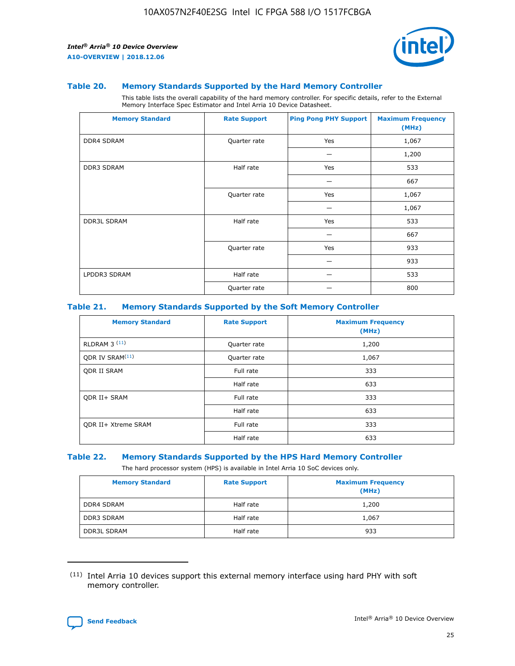

#### **Table 20. Memory Standards Supported by the Hard Memory Controller**

This table lists the overall capability of the hard memory controller. For specific details, refer to the External Memory Interface Spec Estimator and Intel Arria 10 Device Datasheet.

| <b>Memory Standard</b> | <b>Rate Support</b> | <b>Ping Pong PHY Support</b> | <b>Maximum Frequency</b><br>(MHz) |
|------------------------|---------------------|------------------------------|-----------------------------------|
| <b>DDR4 SDRAM</b>      | Quarter rate        | Yes                          | 1,067                             |
|                        |                     |                              | 1,200                             |
| DDR3 SDRAM             | Half rate           | Yes                          | 533                               |
|                        |                     |                              | 667                               |
|                        | Quarter rate        | Yes                          | 1,067                             |
|                        |                     |                              | 1,067                             |
| <b>DDR3L SDRAM</b>     | Half rate           | Yes                          | 533                               |
|                        |                     |                              | 667                               |
|                        | Quarter rate        | Yes                          | 933                               |
|                        |                     |                              | 933                               |
| LPDDR3 SDRAM           | Half rate           |                              | 533                               |
|                        | Quarter rate        |                              | 800                               |

## **Table 21. Memory Standards Supported by the Soft Memory Controller**

| <b>Memory Standard</b>      | <b>Rate Support</b> | <b>Maximum Frequency</b><br>(MHz) |
|-----------------------------|---------------------|-----------------------------------|
| <b>RLDRAM 3 (11)</b>        | Quarter rate        | 1,200                             |
| ODR IV SRAM <sup>(11)</sup> | Quarter rate        | 1,067                             |
| <b>ODR II SRAM</b>          | Full rate           | 333                               |
|                             | Half rate           | 633                               |
| <b>ODR II+ SRAM</b>         | Full rate           | 333                               |
|                             | Half rate           | 633                               |
| <b>ODR II+ Xtreme SRAM</b>  | Full rate           | 333                               |
|                             | Half rate           | 633                               |

#### **Table 22. Memory Standards Supported by the HPS Hard Memory Controller**

The hard processor system (HPS) is available in Intel Arria 10 SoC devices only.

| <b>Memory Standard</b> | <b>Rate Support</b> | <b>Maximum Frequency</b><br>(MHz) |
|------------------------|---------------------|-----------------------------------|
| <b>DDR4 SDRAM</b>      | Half rate           | 1,200                             |
| <b>DDR3 SDRAM</b>      | Half rate           | 1,067                             |
| <b>DDR3L SDRAM</b>     | Half rate           | 933                               |

<sup>(11)</sup> Intel Arria 10 devices support this external memory interface using hard PHY with soft memory controller.

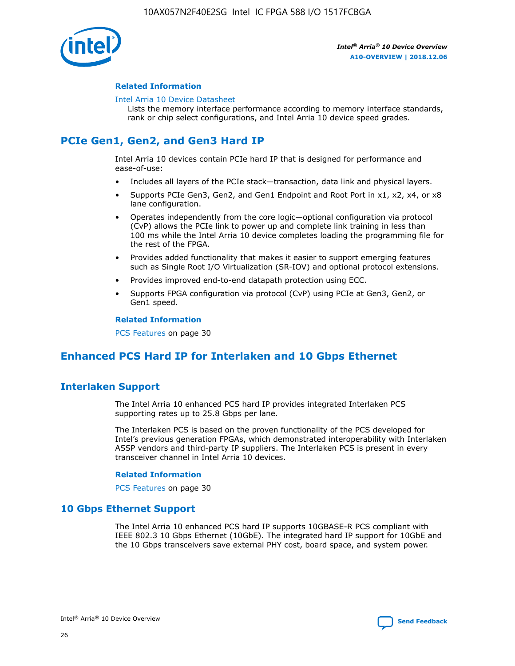

## **Related Information**

#### [Intel Arria 10 Device Datasheet](https://www.intel.com/content/www/us/en/programmable/documentation/mcn1413182292568.html#mcn1413182153340)

Lists the memory interface performance according to memory interface standards, rank or chip select configurations, and Intel Arria 10 device speed grades.

# **PCIe Gen1, Gen2, and Gen3 Hard IP**

Intel Arria 10 devices contain PCIe hard IP that is designed for performance and ease-of-use:

- Includes all layers of the PCIe stack—transaction, data link and physical layers.
- Supports PCIe Gen3, Gen2, and Gen1 Endpoint and Root Port in x1, x2, x4, or x8 lane configuration.
- Operates independently from the core logic—optional configuration via protocol (CvP) allows the PCIe link to power up and complete link training in less than 100 ms while the Intel Arria 10 device completes loading the programming file for the rest of the FPGA.
- Provides added functionality that makes it easier to support emerging features such as Single Root I/O Virtualization (SR-IOV) and optional protocol extensions.
- Provides improved end-to-end datapath protection using ECC.
- Supports FPGA configuration via protocol (CvP) using PCIe at Gen3, Gen2, or Gen1 speed.

#### **Related Information**

PCS Features on page 30

# **Enhanced PCS Hard IP for Interlaken and 10 Gbps Ethernet**

# **Interlaken Support**

The Intel Arria 10 enhanced PCS hard IP provides integrated Interlaken PCS supporting rates up to 25.8 Gbps per lane.

The Interlaken PCS is based on the proven functionality of the PCS developed for Intel's previous generation FPGAs, which demonstrated interoperability with Interlaken ASSP vendors and third-party IP suppliers. The Interlaken PCS is present in every transceiver channel in Intel Arria 10 devices.

## **Related Information**

PCS Features on page 30

# **10 Gbps Ethernet Support**

The Intel Arria 10 enhanced PCS hard IP supports 10GBASE-R PCS compliant with IEEE 802.3 10 Gbps Ethernet (10GbE). The integrated hard IP support for 10GbE and the 10 Gbps transceivers save external PHY cost, board space, and system power.

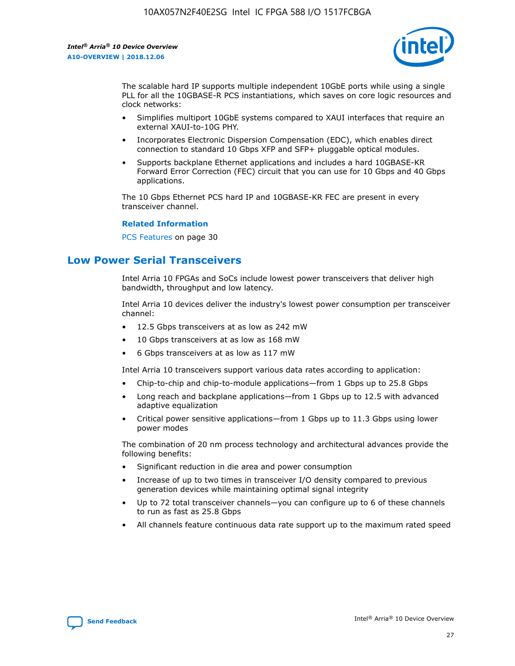

The scalable hard IP supports multiple independent 10GbE ports while using a single PLL for all the 10GBASE-R PCS instantiations, which saves on core logic resources and clock networks:

- Simplifies multiport 10GbE systems compared to XAUI interfaces that require an external XAUI-to-10G PHY.
- Incorporates Electronic Dispersion Compensation (EDC), which enables direct connection to standard 10 Gbps XFP and SFP+ pluggable optical modules.
- Supports backplane Ethernet applications and includes a hard 10GBASE-KR Forward Error Correction (FEC) circuit that you can use for 10 Gbps and 40 Gbps applications.

The 10 Gbps Ethernet PCS hard IP and 10GBASE-KR FEC are present in every transceiver channel.

## **Related Information**

PCS Features on page 30

# **Low Power Serial Transceivers**

Intel Arria 10 FPGAs and SoCs include lowest power transceivers that deliver high bandwidth, throughput and low latency.

Intel Arria 10 devices deliver the industry's lowest power consumption per transceiver channel:

- 12.5 Gbps transceivers at as low as 242 mW
- 10 Gbps transceivers at as low as 168 mW
- 6 Gbps transceivers at as low as 117 mW

Intel Arria 10 transceivers support various data rates according to application:

- Chip-to-chip and chip-to-module applications—from 1 Gbps up to 25.8 Gbps
- Long reach and backplane applications—from 1 Gbps up to 12.5 with advanced adaptive equalization
- Critical power sensitive applications—from 1 Gbps up to 11.3 Gbps using lower power modes

The combination of 20 nm process technology and architectural advances provide the following benefits:

- Significant reduction in die area and power consumption
- Increase of up to two times in transceiver I/O density compared to previous generation devices while maintaining optimal signal integrity
- Up to 72 total transceiver channels—you can configure up to 6 of these channels to run as fast as 25.8 Gbps
- All channels feature continuous data rate support up to the maximum rated speed

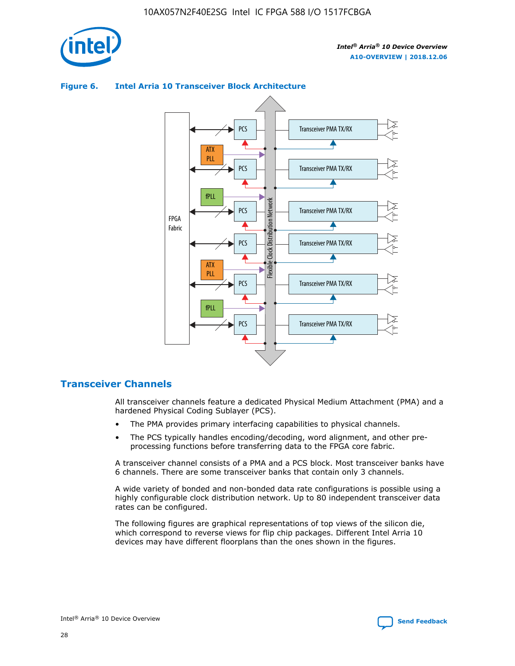



## **Figure 6. Intel Arria 10 Transceiver Block Architecture**

# **Transceiver Channels**

All transceiver channels feature a dedicated Physical Medium Attachment (PMA) and a hardened Physical Coding Sublayer (PCS).

- The PMA provides primary interfacing capabilities to physical channels.
- The PCS typically handles encoding/decoding, word alignment, and other preprocessing functions before transferring data to the FPGA core fabric.

A transceiver channel consists of a PMA and a PCS block. Most transceiver banks have 6 channels. There are some transceiver banks that contain only 3 channels.

A wide variety of bonded and non-bonded data rate configurations is possible using a highly configurable clock distribution network. Up to 80 independent transceiver data rates can be configured.

The following figures are graphical representations of top views of the silicon die, which correspond to reverse views for flip chip packages. Different Intel Arria 10 devices may have different floorplans than the ones shown in the figures.

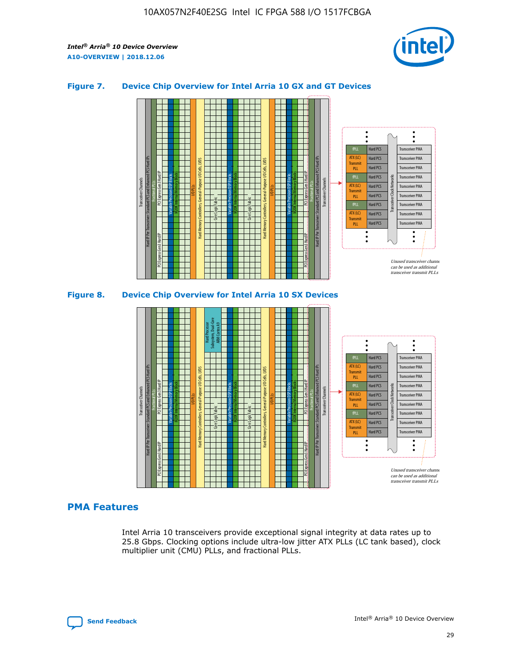

## **Figure 7. Device Chip Overview for Intel Arria 10 GX and GT Devices**





## **PMA Features**

Intel Arria 10 transceivers provide exceptional signal integrity at data rates up to 25.8 Gbps. Clocking options include ultra-low jitter ATX PLLs (LC tank based), clock multiplier unit (CMU) PLLs, and fractional PLLs.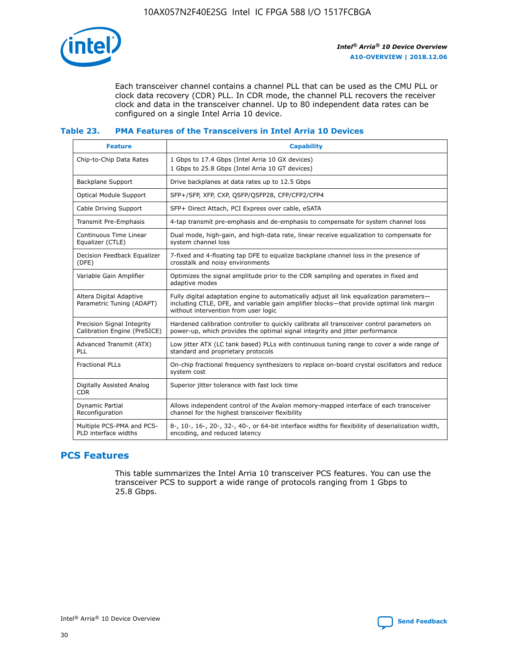

Each transceiver channel contains a channel PLL that can be used as the CMU PLL or clock data recovery (CDR) PLL. In CDR mode, the channel PLL recovers the receiver clock and data in the transceiver channel. Up to 80 independent data rates can be configured on a single Intel Arria 10 device.

## **Table 23. PMA Features of the Transceivers in Intel Arria 10 Devices**

| <b>Feature</b>                                             | <b>Capability</b>                                                                                                                                                                                                             |
|------------------------------------------------------------|-------------------------------------------------------------------------------------------------------------------------------------------------------------------------------------------------------------------------------|
| Chip-to-Chip Data Rates                                    | 1 Gbps to 17.4 Gbps (Intel Arria 10 GX devices)<br>1 Gbps to 25.8 Gbps (Intel Arria 10 GT devices)                                                                                                                            |
| Backplane Support                                          | Drive backplanes at data rates up to 12.5 Gbps                                                                                                                                                                                |
| Optical Module Support                                     | SFP+/SFP, XFP, CXP, QSFP/QSFP28, CFP/CFP2/CFP4                                                                                                                                                                                |
| Cable Driving Support                                      | SFP+ Direct Attach, PCI Express over cable, eSATA                                                                                                                                                                             |
| Transmit Pre-Emphasis                                      | 4-tap transmit pre-emphasis and de-emphasis to compensate for system channel loss                                                                                                                                             |
| Continuous Time Linear<br>Equalizer (CTLE)                 | Dual mode, high-gain, and high-data rate, linear receive equalization to compensate for<br>system channel loss                                                                                                                |
| Decision Feedback Equalizer<br>(DFE)                       | 7-fixed and 4-floating tap DFE to equalize backplane channel loss in the presence of<br>crosstalk and noisy environments                                                                                                      |
| Variable Gain Amplifier                                    | Optimizes the signal amplitude prior to the CDR sampling and operates in fixed and<br>adaptive modes                                                                                                                          |
| Altera Digital Adaptive<br>Parametric Tuning (ADAPT)       | Fully digital adaptation engine to automatically adjust all link equalization parameters-<br>including CTLE, DFE, and variable gain amplifier blocks—that provide optimal link margin<br>without intervention from user logic |
| Precision Signal Integrity<br>Calibration Engine (PreSICE) | Hardened calibration controller to quickly calibrate all transceiver control parameters on<br>power-up, which provides the optimal signal integrity and jitter performance                                                    |
| Advanced Transmit (ATX)<br><b>PLL</b>                      | Low jitter ATX (LC tank based) PLLs with continuous tuning range to cover a wide range of<br>standard and proprietary protocols                                                                                               |
| <b>Fractional PLLs</b>                                     | On-chip fractional frequency synthesizers to replace on-board crystal oscillators and reduce<br>system cost                                                                                                                   |
| Digitally Assisted Analog<br><b>CDR</b>                    | Superior jitter tolerance with fast lock time                                                                                                                                                                                 |
| Dynamic Partial<br>Reconfiguration                         | Allows independent control of the Avalon memory-mapped interface of each transceiver<br>channel for the highest transceiver flexibility                                                                                       |
| Multiple PCS-PMA and PCS-<br>PLD interface widths          | 8-, 10-, 16-, 20-, 32-, 40-, or 64-bit interface widths for flexibility of deserialization width,<br>encoding, and reduced latency                                                                                            |

# **PCS Features**

This table summarizes the Intel Arria 10 transceiver PCS features. You can use the transceiver PCS to support a wide range of protocols ranging from 1 Gbps to 25.8 Gbps.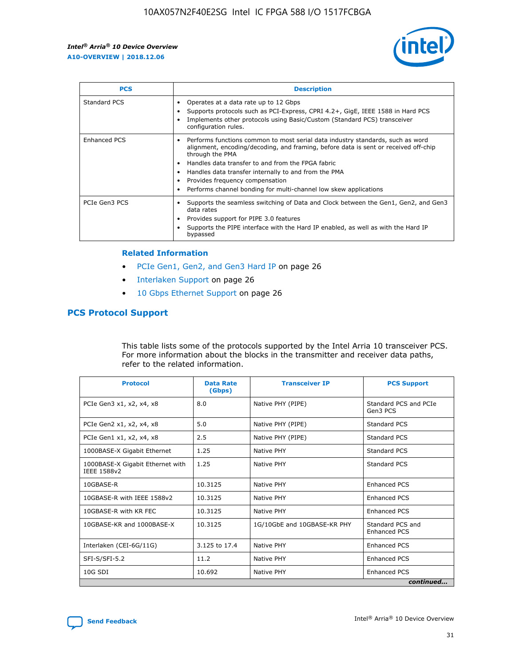

| <b>PCS</b>    | <b>Description</b>                                                                                                                                                                                                                                                                                                                                                                                             |
|---------------|----------------------------------------------------------------------------------------------------------------------------------------------------------------------------------------------------------------------------------------------------------------------------------------------------------------------------------------------------------------------------------------------------------------|
| Standard PCS  | Operates at a data rate up to 12 Gbps<br>Supports protocols such as PCI-Express, CPRI 4.2+, GigE, IEEE 1588 in Hard PCS<br>Implements other protocols using Basic/Custom (Standard PCS) transceiver<br>configuration rules.                                                                                                                                                                                    |
| Enhanced PCS  | Performs functions common to most serial data industry standards, such as word<br>alignment, encoding/decoding, and framing, before data is sent or received off-chip<br>through the PMA<br>• Handles data transfer to and from the FPGA fabric<br>Handles data transfer internally to and from the PMA<br>Provides frequency compensation<br>Performs channel bonding for multi-channel low skew applications |
| PCIe Gen3 PCS | Supports the seamless switching of Data and Clock between the Gen1, Gen2, and Gen3<br>data rates<br>Provides support for PIPE 3.0 features<br>Supports the PIPE interface with the Hard IP enabled, as well as with the Hard IP<br>bypassed                                                                                                                                                                    |

#### **Related Information**

- PCIe Gen1, Gen2, and Gen3 Hard IP on page 26
- Interlaken Support on page 26
- 10 Gbps Ethernet Support on page 26

# **PCS Protocol Support**

This table lists some of the protocols supported by the Intel Arria 10 transceiver PCS. For more information about the blocks in the transmitter and receiver data paths, refer to the related information.

| <b>Protocol</b>                                 | <b>Data Rate</b><br>(Gbps) | <b>Transceiver IP</b>       | <b>PCS Support</b>                      |
|-------------------------------------------------|----------------------------|-----------------------------|-----------------------------------------|
| PCIe Gen3 x1, x2, x4, x8                        | 8.0                        | Native PHY (PIPE)           | Standard PCS and PCIe<br>Gen3 PCS       |
| PCIe Gen2 x1, x2, x4, x8                        | 5.0                        | Native PHY (PIPE)           | <b>Standard PCS</b>                     |
| PCIe Gen1 x1, x2, x4, x8                        | 2.5                        | Native PHY (PIPE)           | Standard PCS                            |
| 1000BASE-X Gigabit Ethernet                     | 1.25                       | Native PHY                  | <b>Standard PCS</b>                     |
| 1000BASE-X Gigabit Ethernet with<br>IEEE 1588v2 | 1.25                       | Native PHY                  | Standard PCS                            |
| 10GBASE-R                                       | 10.3125                    | Native PHY                  | <b>Enhanced PCS</b>                     |
| 10GBASE-R with IEEE 1588v2                      | 10.3125                    | Native PHY                  | <b>Enhanced PCS</b>                     |
| 10GBASE-R with KR FEC                           | 10.3125                    | Native PHY                  | <b>Enhanced PCS</b>                     |
| 10GBASE-KR and 1000BASE-X                       | 10.3125                    | 1G/10GbE and 10GBASE-KR PHY | Standard PCS and<br><b>Enhanced PCS</b> |
| Interlaken (CEI-6G/11G)                         | 3.125 to 17.4              | Native PHY                  | <b>Enhanced PCS</b>                     |
| SFI-S/SFI-5.2                                   | 11.2                       | Native PHY                  | <b>Enhanced PCS</b>                     |
| $10G$ SDI                                       | 10.692                     | Native PHY                  | <b>Enhanced PCS</b>                     |
|                                                 |                            |                             | continued                               |

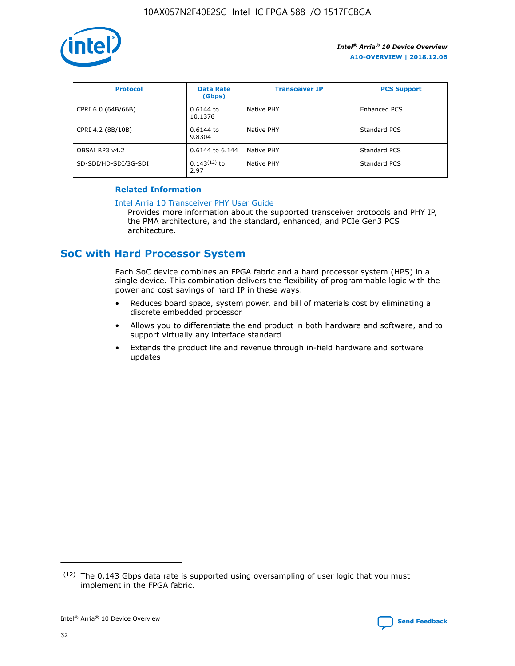

| <b>Protocol</b>      | <b>Data Rate</b><br>(Gbps) | <b>Transceiver IP</b> | <b>PCS Support</b>  |
|----------------------|----------------------------|-----------------------|---------------------|
| CPRI 6.0 (64B/66B)   | 0.6144 to<br>10.1376       | Native PHY            | <b>Enhanced PCS</b> |
| CPRI 4.2 (8B/10B)    | 0.6144 to<br>9.8304        | Native PHY            | Standard PCS        |
| OBSAI RP3 v4.2       | 0.6144 to 6.144            | Native PHY            | Standard PCS        |
| SD-SDI/HD-SDI/3G-SDI | $0.143(12)$ to<br>2.97     | Native PHY            | Standard PCS        |

## **Related Information**

#### [Intel Arria 10 Transceiver PHY User Guide](https://www.intel.com/content/www/us/en/programmable/documentation/nik1398707230472.html#nik1398707091164)

Provides more information about the supported transceiver protocols and PHY IP, the PMA architecture, and the standard, enhanced, and PCIe Gen3 PCS architecture.

# **SoC with Hard Processor System**

Each SoC device combines an FPGA fabric and a hard processor system (HPS) in a single device. This combination delivers the flexibility of programmable logic with the power and cost savings of hard IP in these ways:

- Reduces board space, system power, and bill of materials cost by eliminating a discrete embedded processor
- Allows you to differentiate the end product in both hardware and software, and to support virtually any interface standard
- Extends the product life and revenue through in-field hardware and software updates

 $(12)$  The 0.143 Gbps data rate is supported using oversampling of user logic that you must implement in the FPGA fabric.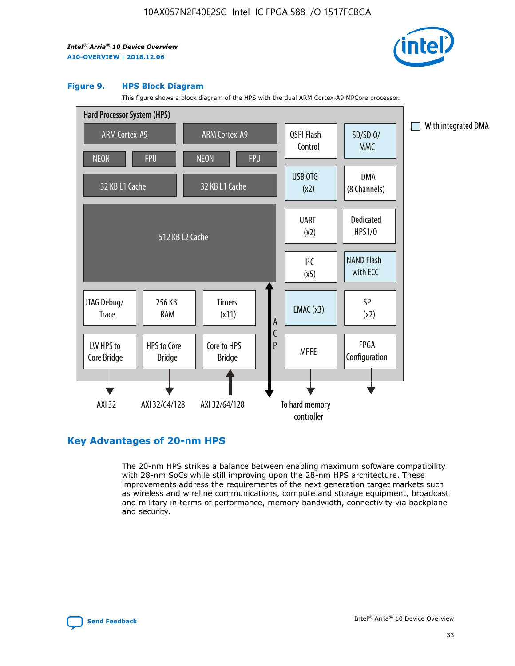

#### **Figure 9. HPS Block Diagram**

This figure shows a block diagram of the HPS with the dual ARM Cortex-A9 MPCore processor.



# **Key Advantages of 20-nm HPS**

The 20-nm HPS strikes a balance between enabling maximum software compatibility with 28-nm SoCs while still improving upon the 28-nm HPS architecture. These improvements address the requirements of the next generation target markets such as wireless and wireline communications, compute and storage equipment, broadcast and military in terms of performance, memory bandwidth, connectivity via backplane and security.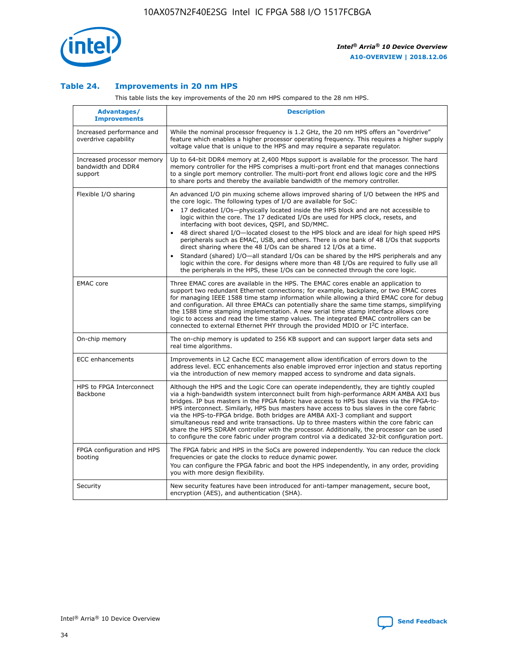

## **Table 24. Improvements in 20 nm HPS**

This table lists the key improvements of the 20 nm HPS compared to the 28 nm HPS.

| Advantages/<br><b>Improvements</b>                          | <b>Description</b>                                                                                                                                                                                                                                                                                                                                                                                                                                                                                                                                                                                                                                                                                                                                                                                                                                                                                                                                |
|-------------------------------------------------------------|---------------------------------------------------------------------------------------------------------------------------------------------------------------------------------------------------------------------------------------------------------------------------------------------------------------------------------------------------------------------------------------------------------------------------------------------------------------------------------------------------------------------------------------------------------------------------------------------------------------------------------------------------------------------------------------------------------------------------------------------------------------------------------------------------------------------------------------------------------------------------------------------------------------------------------------------------|
| Increased performance and<br>overdrive capability           | While the nominal processor frequency is 1.2 GHz, the 20 nm HPS offers an "overdrive"<br>feature which enables a higher processor operating frequency. This requires a higher supply<br>voltage value that is unique to the HPS and may require a separate regulator.                                                                                                                                                                                                                                                                                                                                                                                                                                                                                                                                                                                                                                                                             |
| Increased processor memory<br>bandwidth and DDR4<br>support | Up to 64-bit DDR4 memory at 2,400 Mbps support is available for the processor. The hard<br>memory controller for the HPS comprises a multi-port front end that manages connections<br>to a single port memory controller. The multi-port front end allows logic core and the HPS<br>to share ports and thereby the available bandwidth of the memory controller.                                                                                                                                                                                                                                                                                                                                                                                                                                                                                                                                                                                  |
| Flexible I/O sharing                                        | An advanced I/O pin muxing scheme allows improved sharing of I/O between the HPS and<br>the core logic. The following types of I/O are available for SoC:<br>17 dedicated I/Os-physically located inside the HPS block and are not accessible to<br>$\bullet$<br>logic within the core. The 17 dedicated I/Os are used for HPS clock, resets, and<br>interfacing with boot devices, QSPI, and SD/MMC.<br>48 direct shared I/O-located closest to the HPS block and are ideal for high speed HPS<br>$\bullet$<br>peripherals such as EMAC, USB, and others. There is one bank of 48 I/Os that supports<br>direct sharing where the 48 I/Os can be shared 12 I/Os at a time.<br>Standard (shared) I/O-all standard I/Os can be shared by the HPS peripherals and any<br>logic within the core. For designs where more than 48 I/Os are reguired to fully use all<br>the peripherals in the HPS, these I/Os can be connected through the core logic. |
| <b>EMAC</b> core                                            | Three EMAC cores are available in the HPS. The EMAC cores enable an application to<br>support two redundant Ethernet connections; for example, backplane, or two EMAC cores<br>for managing IEEE 1588 time stamp information while allowing a third EMAC core for debug<br>and configuration. All three EMACs can potentially share the same time stamps, simplifying<br>the 1588 time stamping implementation. A new serial time stamp interface allows core<br>logic to access and read the time stamp values. The integrated EMAC controllers can be<br>connected to external Ethernet PHY through the provided MDIO or I <sup>2</sup> C interface.                                                                                                                                                                                                                                                                                            |
| On-chip memory                                              | The on-chip memory is updated to 256 KB support and can support larger data sets and<br>real time algorithms.                                                                                                                                                                                                                                                                                                                                                                                                                                                                                                                                                                                                                                                                                                                                                                                                                                     |
| <b>ECC</b> enhancements                                     | Improvements in L2 Cache ECC management allow identification of errors down to the<br>address level. ECC enhancements also enable improved error injection and status reporting<br>via the introduction of new memory mapped access to syndrome and data signals.                                                                                                                                                                                                                                                                                                                                                                                                                                                                                                                                                                                                                                                                                 |
| HPS to FPGA Interconnect<br>Backbone                        | Although the HPS and the Logic Core can operate independently, they are tightly coupled<br>via a high-bandwidth system interconnect built from high-performance ARM AMBA AXI bus<br>bridges. IP bus masters in the FPGA fabric have access to HPS bus slaves via the FPGA-to-<br>HPS interconnect. Similarly, HPS bus masters have access to bus slaves in the core fabric<br>via the HPS-to-FPGA bridge. Both bridges are AMBA AXI-3 compliant and support<br>simultaneous read and write transactions. Up to three masters within the core fabric can<br>share the HPS SDRAM controller with the processor. Additionally, the processor can be used<br>to configure the core fabric under program control via a dedicated 32-bit configuration port.                                                                                                                                                                                            |
| FPGA configuration and HPS<br>booting                       | The FPGA fabric and HPS in the SoCs are powered independently. You can reduce the clock<br>frequencies or gate the clocks to reduce dynamic power.<br>You can configure the FPGA fabric and boot the HPS independently, in any order, providing<br>you with more design flexibility.                                                                                                                                                                                                                                                                                                                                                                                                                                                                                                                                                                                                                                                              |
| Security                                                    | New security features have been introduced for anti-tamper management, secure boot,<br>encryption (AES), and authentication (SHA).                                                                                                                                                                                                                                                                                                                                                                                                                                                                                                                                                                                                                                                                                                                                                                                                                |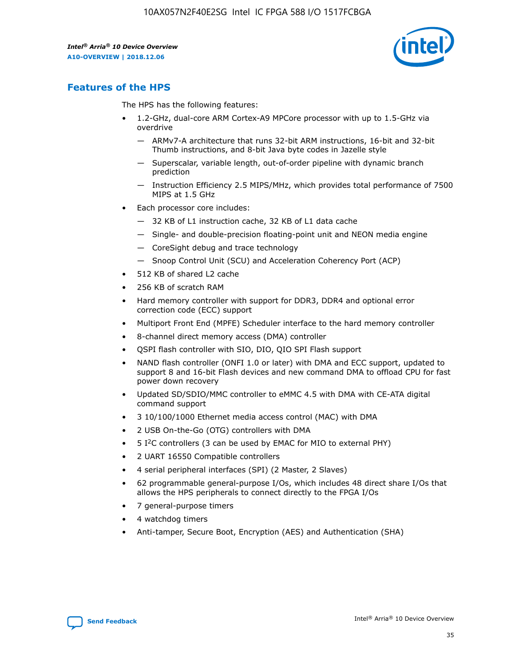

# **Features of the HPS**

The HPS has the following features:

- 1.2-GHz, dual-core ARM Cortex-A9 MPCore processor with up to 1.5-GHz via overdrive
	- ARMv7-A architecture that runs 32-bit ARM instructions, 16-bit and 32-bit Thumb instructions, and 8-bit Java byte codes in Jazelle style
	- Superscalar, variable length, out-of-order pipeline with dynamic branch prediction
	- Instruction Efficiency 2.5 MIPS/MHz, which provides total performance of 7500 MIPS at 1.5 GHz
- Each processor core includes:
	- 32 KB of L1 instruction cache, 32 KB of L1 data cache
	- Single- and double-precision floating-point unit and NEON media engine
	- CoreSight debug and trace technology
	- Snoop Control Unit (SCU) and Acceleration Coherency Port (ACP)
- 512 KB of shared L2 cache
- 256 KB of scratch RAM
- Hard memory controller with support for DDR3, DDR4 and optional error correction code (ECC) support
- Multiport Front End (MPFE) Scheduler interface to the hard memory controller
- 8-channel direct memory access (DMA) controller
- QSPI flash controller with SIO, DIO, QIO SPI Flash support
- NAND flash controller (ONFI 1.0 or later) with DMA and ECC support, updated to support 8 and 16-bit Flash devices and new command DMA to offload CPU for fast power down recovery
- Updated SD/SDIO/MMC controller to eMMC 4.5 with DMA with CE-ATA digital command support
- 3 10/100/1000 Ethernet media access control (MAC) with DMA
- 2 USB On-the-Go (OTG) controllers with DMA
- $\bullet$  5 I<sup>2</sup>C controllers (3 can be used by EMAC for MIO to external PHY)
- 2 UART 16550 Compatible controllers
- 4 serial peripheral interfaces (SPI) (2 Master, 2 Slaves)
- 62 programmable general-purpose I/Os, which includes 48 direct share I/Os that allows the HPS peripherals to connect directly to the FPGA I/Os
- 7 general-purpose timers
- 4 watchdog timers
- Anti-tamper, Secure Boot, Encryption (AES) and Authentication (SHA)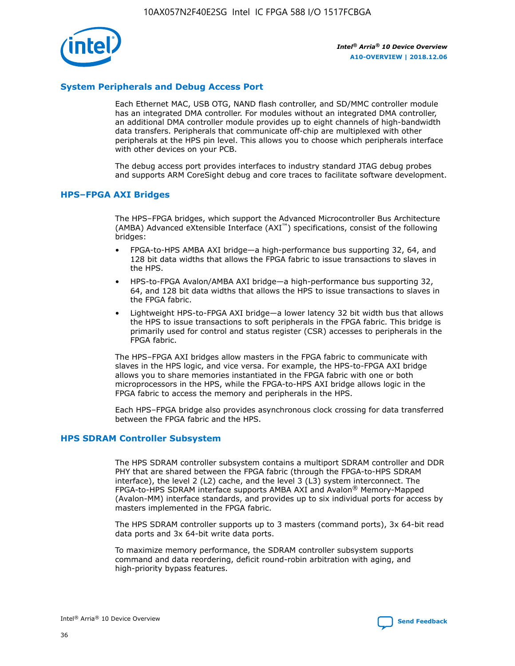

# **System Peripherals and Debug Access Port**

Each Ethernet MAC, USB OTG, NAND flash controller, and SD/MMC controller module has an integrated DMA controller. For modules without an integrated DMA controller, an additional DMA controller module provides up to eight channels of high-bandwidth data transfers. Peripherals that communicate off-chip are multiplexed with other peripherals at the HPS pin level. This allows you to choose which peripherals interface with other devices on your PCB.

The debug access port provides interfaces to industry standard JTAG debug probes and supports ARM CoreSight debug and core traces to facilitate software development.

#### **HPS–FPGA AXI Bridges**

The HPS–FPGA bridges, which support the Advanced Microcontroller Bus Architecture (AMBA) Advanced eXtensible Interface (AXI™) specifications, consist of the following bridges:

- FPGA-to-HPS AMBA AXI bridge—a high-performance bus supporting 32, 64, and 128 bit data widths that allows the FPGA fabric to issue transactions to slaves in the HPS.
- HPS-to-FPGA Avalon/AMBA AXI bridge—a high-performance bus supporting 32, 64, and 128 bit data widths that allows the HPS to issue transactions to slaves in the FPGA fabric.
- Lightweight HPS-to-FPGA AXI bridge—a lower latency 32 bit width bus that allows the HPS to issue transactions to soft peripherals in the FPGA fabric. This bridge is primarily used for control and status register (CSR) accesses to peripherals in the FPGA fabric.

The HPS–FPGA AXI bridges allow masters in the FPGA fabric to communicate with slaves in the HPS logic, and vice versa. For example, the HPS-to-FPGA AXI bridge allows you to share memories instantiated in the FPGA fabric with one or both microprocessors in the HPS, while the FPGA-to-HPS AXI bridge allows logic in the FPGA fabric to access the memory and peripherals in the HPS.

Each HPS–FPGA bridge also provides asynchronous clock crossing for data transferred between the FPGA fabric and the HPS.

#### **HPS SDRAM Controller Subsystem**

The HPS SDRAM controller subsystem contains a multiport SDRAM controller and DDR PHY that are shared between the FPGA fabric (through the FPGA-to-HPS SDRAM interface), the level 2 (L2) cache, and the level 3 (L3) system interconnect. The FPGA-to-HPS SDRAM interface supports AMBA AXI and Avalon® Memory-Mapped (Avalon-MM) interface standards, and provides up to six individual ports for access by masters implemented in the FPGA fabric.

The HPS SDRAM controller supports up to 3 masters (command ports), 3x 64-bit read data ports and 3x 64-bit write data ports.

To maximize memory performance, the SDRAM controller subsystem supports command and data reordering, deficit round-robin arbitration with aging, and high-priority bypass features.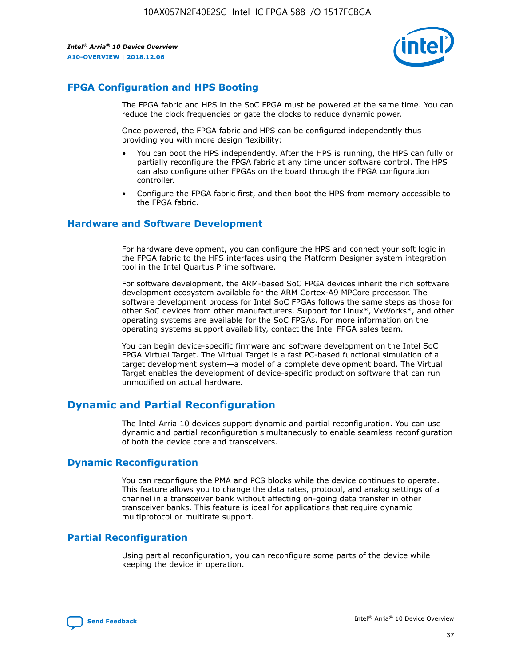

# **FPGA Configuration and HPS Booting**

The FPGA fabric and HPS in the SoC FPGA must be powered at the same time. You can reduce the clock frequencies or gate the clocks to reduce dynamic power.

Once powered, the FPGA fabric and HPS can be configured independently thus providing you with more design flexibility:

- You can boot the HPS independently. After the HPS is running, the HPS can fully or partially reconfigure the FPGA fabric at any time under software control. The HPS can also configure other FPGAs on the board through the FPGA configuration controller.
- Configure the FPGA fabric first, and then boot the HPS from memory accessible to the FPGA fabric.

# **Hardware and Software Development**

For hardware development, you can configure the HPS and connect your soft logic in the FPGA fabric to the HPS interfaces using the Platform Designer system integration tool in the Intel Quartus Prime software.

For software development, the ARM-based SoC FPGA devices inherit the rich software development ecosystem available for the ARM Cortex-A9 MPCore processor. The software development process for Intel SoC FPGAs follows the same steps as those for other SoC devices from other manufacturers. Support for Linux\*, VxWorks\*, and other operating systems are available for the SoC FPGAs. For more information on the operating systems support availability, contact the Intel FPGA sales team.

You can begin device-specific firmware and software development on the Intel SoC FPGA Virtual Target. The Virtual Target is a fast PC-based functional simulation of a target development system—a model of a complete development board. The Virtual Target enables the development of device-specific production software that can run unmodified on actual hardware.

# **Dynamic and Partial Reconfiguration**

The Intel Arria 10 devices support dynamic and partial reconfiguration. You can use dynamic and partial reconfiguration simultaneously to enable seamless reconfiguration of both the device core and transceivers.

# **Dynamic Reconfiguration**

You can reconfigure the PMA and PCS blocks while the device continues to operate. This feature allows you to change the data rates, protocol, and analog settings of a channel in a transceiver bank without affecting on-going data transfer in other transceiver banks. This feature is ideal for applications that require dynamic multiprotocol or multirate support.

# **Partial Reconfiguration**

Using partial reconfiguration, you can reconfigure some parts of the device while keeping the device in operation.

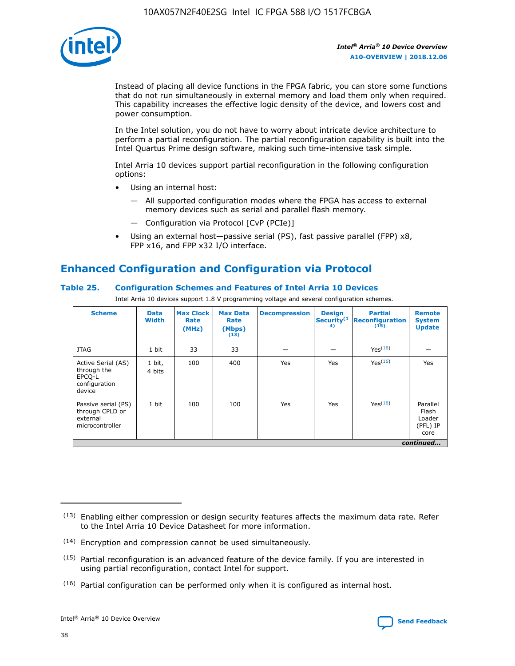

Instead of placing all device functions in the FPGA fabric, you can store some functions that do not run simultaneously in external memory and load them only when required. This capability increases the effective logic density of the device, and lowers cost and power consumption.

In the Intel solution, you do not have to worry about intricate device architecture to perform a partial reconfiguration. The partial reconfiguration capability is built into the Intel Quartus Prime design software, making such time-intensive task simple.

Intel Arria 10 devices support partial reconfiguration in the following configuration options:

- Using an internal host:
	- All supported configuration modes where the FPGA has access to external memory devices such as serial and parallel flash memory.
	- Configuration via Protocol [CvP (PCIe)]
- Using an external host—passive serial (PS), fast passive parallel (FPP) x8, FPP x16, and FPP x32 I/O interface.

# **Enhanced Configuration and Configuration via Protocol**

# **Table 25. Configuration Schemes and Features of Intel Arria 10 Devices**

Intel Arria 10 devices support 1.8 V programming voltage and several configuration schemes.

| <b>Scheme</b>                                                          | <b>Data</b><br><b>Width</b> | <b>Max Clock</b><br>Rate<br>(MHz) | <b>Max Data</b><br>Rate<br>(Mbps)<br>(13) | <b>Decompression</b> | <b>Design</b><br>Security <sup>(1</sup><br>4) | <b>Partial</b><br>Reconfiguration<br>(15) | <b>Remote</b><br><b>System</b><br><b>Update</b> |
|------------------------------------------------------------------------|-----------------------------|-----------------------------------|-------------------------------------------|----------------------|-----------------------------------------------|-------------------------------------------|-------------------------------------------------|
| <b>JTAG</b>                                                            | 1 bit                       | 33                                | 33                                        |                      |                                               | Yes(16)                                   |                                                 |
| Active Serial (AS)<br>through the<br>EPCO-L<br>configuration<br>device | 1 bit,<br>4 bits            | 100                               | 400                                       | Yes                  | Yes                                           | Yes(16)                                   | Yes                                             |
| Passive serial (PS)<br>through CPLD or<br>external<br>microcontroller  | 1 bit                       | 100                               | 100                                       | Yes                  | Yes                                           | Yes <sup>(16)</sup>                       | Parallel<br>Flash<br>Loader<br>(PFL) IP<br>core |
|                                                                        |                             |                                   |                                           |                      |                                               |                                           | continued                                       |

<sup>(13)</sup> Enabling either compression or design security features affects the maximum data rate. Refer to the Intel Arria 10 Device Datasheet for more information.

<sup>(14)</sup> Encryption and compression cannot be used simultaneously.

 $(15)$  Partial reconfiguration is an advanced feature of the device family. If you are interested in using partial reconfiguration, contact Intel for support.

 $(16)$  Partial configuration can be performed only when it is configured as internal host.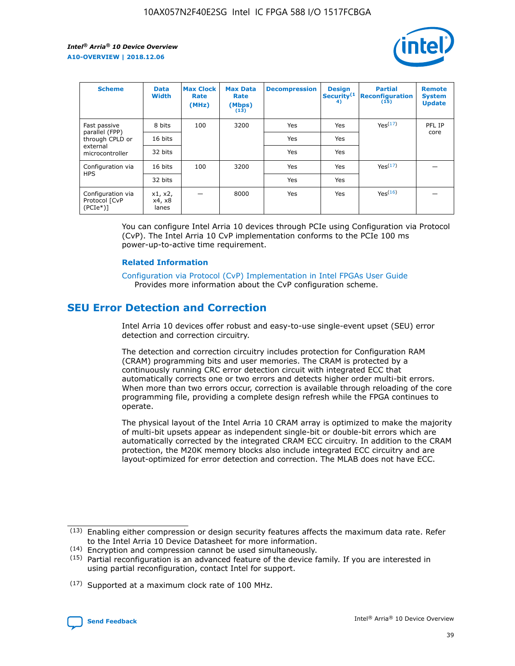

| <b>Scheme</b>                                   | <b>Data</b><br><b>Width</b> | <b>Max Clock</b><br>Rate<br>(MHz) | <b>Max Data</b><br>Rate<br>(Mbps)<br>(13) | <b>Decompression</b> | <b>Design</b><br>Security <sup>(1</sup><br>4) | <b>Partial</b><br><b>Reconfiguration</b><br>(15) | <b>Remote</b><br><b>System</b><br><b>Update</b> |
|-------------------------------------------------|-----------------------------|-----------------------------------|-------------------------------------------|----------------------|-----------------------------------------------|--------------------------------------------------|-------------------------------------------------|
| Fast passive                                    | 8 bits                      | 100                               | 3200                                      | Yes                  | Yes                                           | Yes(17)                                          | PFL IP                                          |
| parallel (FPP)<br>through CPLD or               | 16 bits                     |                                   |                                           | Yes                  | Yes                                           |                                                  | core                                            |
| external<br>microcontroller                     | 32 bits                     |                                   |                                           | Yes                  | Yes                                           |                                                  |                                                 |
| Configuration via                               | 16 bits                     | 100                               | 3200                                      | Yes                  | Yes                                           | Yes <sup>(17)</sup>                              |                                                 |
| <b>HPS</b>                                      | 32 bits                     |                                   |                                           | Yes                  | Yes                                           |                                                  |                                                 |
| Configuration via<br>Protocol [CvP<br>$(PCIe*)$ | x1, x2,<br>x4, x8<br>lanes  |                                   | 8000                                      | Yes                  | Yes                                           | Yes <sup>(16)</sup>                              |                                                 |

You can configure Intel Arria 10 devices through PCIe using Configuration via Protocol (CvP). The Intel Arria 10 CvP implementation conforms to the PCIe 100 ms power-up-to-active time requirement.

## **Related Information**

[Configuration via Protocol \(CvP\) Implementation in Intel FPGAs User Guide](https://www.intel.com/content/www/us/en/programmable/documentation/dsu1441819344145.html#dsu1442269728522) Provides more information about the CvP configuration scheme.

# **SEU Error Detection and Correction**

Intel Arria 10 devices offer robust and easy-to-use single-event upset (SEU) error detection and correction circuitry.

The detection and correction circuitry includes protection for Configuration RAM (CRAM) programming bits and user memories. The CRAM is protected by a continuously running CRC error detection circuit with integrated ECC that automatically corrects one or two errors and detects higher order multi-bit errors. When more than two errors occur, correction is available through reloading of the core programming file, providing a complete design refresh while the FPGA continues to operate.

The physical layout of the Intel Arria 10 CRAM array is optimized to make the majority of multi-bit upsets appear as independent single-bit or double-bit errors which are automatically corrected by the integrated CRAM ECC circuitry. In addition to the CRAM protection, the M20K memory blocks also include integrated ECC circuitry and are layout-optimized for error detection and correction. The MLAB does not have ECC.

(14) Encryption and compression cannot be used simultaneously.

<sup>(17)</sup> Supported at a maximum clock rate of 100 MHz.



 $(13)$  Enabling either compression or design security features affects the maximum data rate. Refer to the Intel Arria 10 Device Datasheet for more information.

 $(15)$  Partial reconfiguration is an advanced feature of the device family. If you are interested in using partial reconfiguration, contact Intel for support.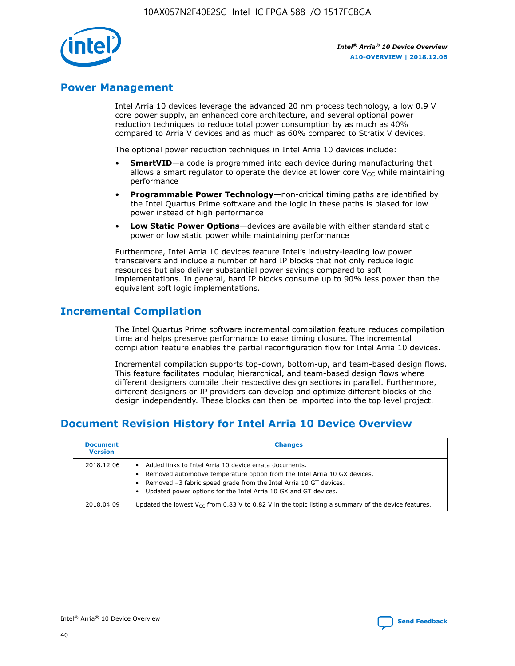

# **Power Management**

Intel Arria 10 devices leverage the advanced 20 nm process technology, a low 0.9 V core power supply, an enhanced core architecture, and several optional power reduction techniques to reduce total power consumption by as much as 40% compared to Arria V devices and as much as 60% compared to Stratix V devices.

The optional power reduction techniques in Intel Arria 10 devices include:

- **SmartVID**—a code is programmed into each device during manufacturing that allows a smart regulator to operate the device at lower core  $V_{CC}$  while maintaining performance
- **Programmable Power Technology**—non-critical timing paths are identified by the Intel Quartus Prime software and the logic in these paths is biased for low power instead of high performance
- **Low Static Power Options**—devices are available with either standard static power or low static power while maintaining performance

Furthermore, Intel Arria 10 devices feature Intel's industry-leading low power transceivers and include a number of hard IP blocks that not only reduce logic resources but also deliver substantial power savings compared to soft implementations. In general, hard IP blocks consume up to 90% less power than the equivalent soft logic implementations.

# **Incremental Compilation**

The Intel Quartus Prime software incremental compilation feature reduces compilation time and helps preserve performance to ease timing closure. The incremental compilation feature enables the partial reconfiguration flow for Intel Arria 10 devices.

Incremental compilation supports top-down, bottom-up, and team-based design flows. This feature facilitates modular, hierarchical, and team-based design flows where different designers compile their respective design sections in parallel. Furthermore, different designers or IP providers can develop and optimize different blocks of the design independently. These blocks can then be imported into the top level project.

# **Document Revision History for Intel Arria 10 Device Overview**

| <b>Document</b><br><b>Version</b> | <b>Changes</b>                                                                                                                                                                                                                                                              |
|-----------------------------------|-----------------------------------------------------------------------------------------------------------------------------------------------------------------------------------------------------------------------------------------------------------------------------|
| 2018.12.06                        | Added links to Intel Arria 10 device errata documents.<br>Removed automotive temperature option from the Intel Arria 10 GX devices.<br>Removed -3 fabric speed grade from the Intel Arria 10 GT devices.<br>Updated power options for the Intel Arria 10 GX and GT devices. |
| 2018.04.09                        | Updated the lowest $V_{CC}$ from 0.83 V to 0.82 V in the topic listing a summary of the device features.                                                                                                                                                                    |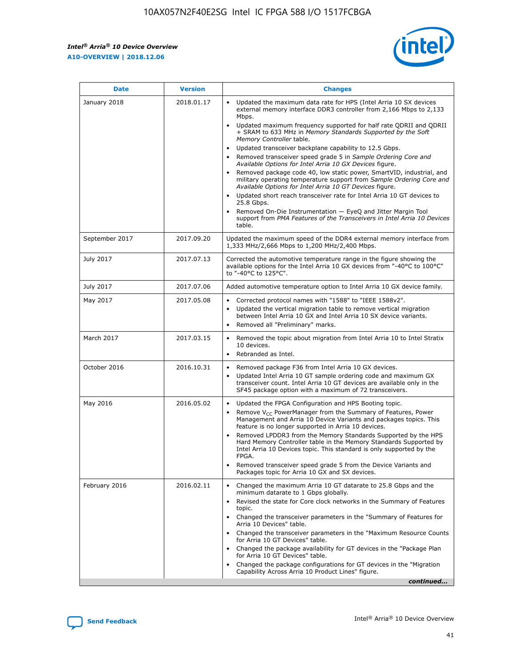*Intel® Arria® 10 Device Overview* **A10-OVERVIEW | 2018.12.06**



| <b>Date</b>    | <b>Version</b> | <b>Changes</b>                                                                                                                                                                                                                                                                                                                                                                                                                                                                                                                                                                                                                                                                                                                                                                                                                                                                                                                                                                         |
|----------------|----------------|----------------------------------------------------------------------------------------------------------------------------------------------------------------------------------------------------------------------------------------------------------------------------------------------------------------------------------------------------------------------------------------------------------------------------------------------------------------------------------------------------------------------------------------------------------------------------------------------------------------------------------------------------------------------------------------------------------------------------------------------------------------------------------------------------------------------------------------------------------------------------------------------------------------------------------------------------------------------------------------|
| January 2018   | 2018.01.17     | Updated the maximum data rate for HPS (Intel Arria 10 SX devices<br>external memory interface DDR3 controller from 2,166 Mbps to 2,133<br>Mbps.<br>Updated maximum frequency supported for half rate QDRII and QDRII<br>+ SRAM to 633 MHz in Memory Standards Supported by the Soft<br>Memory Controller table.<br>Updated transceiver backplane capability to 12.5 Gbps.<br>$\bullet$<br>Removed transceiver speed grade 5 in Sample Ordering Core and<br>$\bullet$<br>Available Options for Intel Arria 10 GX Devices figure.<br>Removed package code 40, low static power, SmartVID, industrial, and<br>military operating temperature support from Sample Ordering Core and<br>Available Options for Intel Arria 10 GT Devices figure.<br>Updated short reach transceiver rate for Intel Arria 10 GT devices to<br>25.8 Gbps.<br>Removed On-Die Instrumentation - EyeQ and Jitter Margin Tool<br>support from PMA Features of the Transceivers in Intel Arria 10 Devices<br>table. |
| September 2017 | 2017.09.20     | Updated the maximum speed of the DDR4 external memory interface from<br>1,333 MHz/2,666 Mbps to 1,200 MHz/2,400 Mbps.                                                                                                                                                                                                                                                                                                                                                                                                                                                                                                                                                                                                                                                                                                                                                                                                                                                                  |
| July 2017      | 2017.07.13     | Corrected the automotive temperature range in the figure showing the<br>available options for the Intel Arria 10 GX devices from "-40°C to 100°C"<br>to "-40°C to 125°C".                                                                                                                                                                                                                                                                                                                                                                                                                                                                                                                                                                                                                                                                                                                                                                                                              |
| July 2017      | 2017.07.06     | Added automotive temperature option to Intel Arria 10 GX device family.                                                                                                                                                                                                                                                                                                                                                                                                                                                                                                                                                                                                                                                                                                                                                                                                                                                                                                                |
| May 2017       | 2017.05.08     | Corrected protocol names with "1588" to "IEEE 1588v2".<br>$\bullet$<br>Updated the vertical migration table to remove vertical migration<br>$\bullet$<br>between Intel Arria 10 GX and Intel Arria 10 SX device variants.<br>Removed all "Preliminary" marks.<br>$\bullet$                                                                                                                                                                                                                                                                                                                                                                                                                                                                                                                                                                                                                                                                                                             |
| March 2017     | 2017.03.15     | Removed the topic about migration from Intel Arria 10 to Intel Stratix<br>$\bullet$<br>10 devices.<br>Rebranded as Intel.<br>$\bullet$                                                                                                                                                                                                                                                                                                                                                                                                                                                                                                                                                                                                                                                                                                                                                                                                                                                 |
| October 2016   | 2016.10.31     | Removed package F36 from Intel Arria 10 GX devices.<br>Updated Intel Arria 10 GT sample ordering code and maximum GX<br>$\bullet$<br>transceiver count. Intel Arria 10 GT devices are available only in the<br>SF45 package option with a maximum of 72 transceivers.                                                                                                                                                                                                                                                                                                                                                                                                                                                                                                                                                                                                                                                                                                                  |
| May 2016       | 2016.05.02     | Updated the FPGA Configuration and HPS Booting topic.<br>$\bullet$<br>Remove V <sub>CC</sub> PowerManager from the Summary of Features, Power<br>Management and Arria 10 Device Variants and packages topics. This<br>feature is no longer supported in Arria 10 devices.<br>Removed LPDDR3 from the Memory Standards Supported by the HPS<br>Hard Memory Controller table in the Memory Standards Supported by<br>Intel Arria 10 Devices topic. This standard is only supported by the<br>FPGA.<br>Removed transceiver speed grade 5 from the Device Variants and<br>Packages topic for Arria 10 GX and SX devices.                                                                                                                                                                                                                                                                                                                                                                   |
| February 2016  | 2016.02.11     | Changed the maximum Arria 10 GT datarate to 25.8 Gbps and the<br>minimum datarate to 1 Gbps globally.<br>Revised the state for Core clock networks in the Summary of Features<br>$\bullet$<br>topic.<br>Changed the transceiver parameters in the "Summary of Features for<br>$\bullet$<br>Arria 10 Devices" table.<br>• Changed the transceiver parameters in the "Maximum Resource Counts<br>for Arria 10 GT Devices" table.<br>Changed the package availability for GT devices in the "Package Plan<br>for Arria 10 GT Devices" table.<br>Changed the package configurations for GT devices in the "Migration"<br>Capability Across Arria 10 Product Lines" figure.<br>continued                                                                                                                                                                                                                                                                                                    |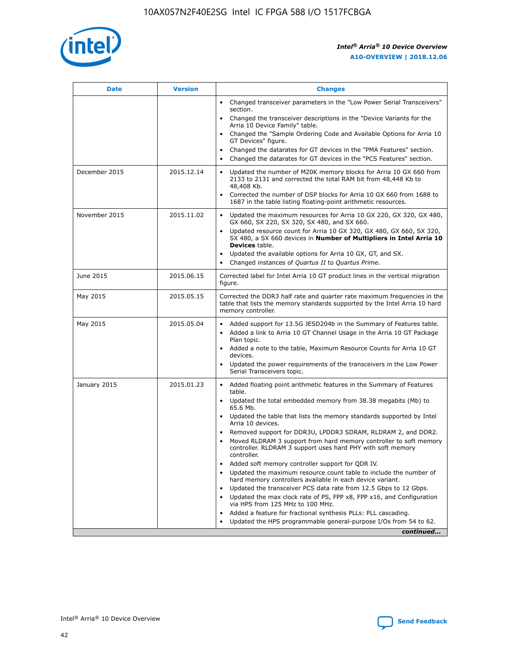

| <b>Date</b>   | <b>Version</b> | <b>Changes</b>                                                                                                                                                               |
|---------------|----------------|------------------------------------------------------------------------------------------------------------------------------------------------------------------------------|
|               |                | Changed transceiver parameters in the "Low Power Serial Transceivers"<br>section.                                                                                            |
|               |                | • Changed the transceiver descriptions in the "Device Variants for the<br>Arria 10 Device Family" table.                                                                     |
|               |                | Changed the "Sample Ordering Code and Available Options for Arria 10<br>GT Devices" figure.                                                                                  |
|               |                | Changed the datarates for GT devices in the "PMA Features" section.                                                                                                          |
|               |                | Changed the datarates for GT devices in the "PCS Features" section.<br>$\bullet$                                                                                             |
| December 2015 | 2015.12.14     | Updated the number of M20K memory blocks for Arria 10 GX 660 from<br>2133 to 2131 and corrected the total RAM bit from 48,448 Kb to<br>48,408 Kb.                            |
|               |                | Corrected the number of DSP blocks for Arria 10 GX 660 from 1688 to<br>$\bullet$<br>1687 in the table listing floating-point arithmetic resources.                           |
| November 2015 | 2015.11.02     | Updated the maximum resources for Arria 10 GX 220, GX 320, GX 480,<br>GX 660, SX 220, SX 320, SX 480, and SX 660.                                                            |
|               |                | Updated resource count for Arria 10 GX 320, GX 480, GX 660, SX 320,<br>SX 480, a SX 660 devices in Number of Multipliers in Intel Arria 10<br><b>Devices</b> table.          |
|               |                | Updated the available options for Arria 10 GX, GT, and SX.<br>$\bullet$                                                                                                      |
|               |                | Changed instances of Quartus II to Quartus Prime.<br>$\bullet$                                                                                                               |
| June 2015     | 2015.06.15     | Corrected label for Intel Arria 10 GT product lines in the vertical migration<br>figure.                                                                                     |
| May 2015      | 2015.05.15     | Corrected the DDR3 half rate and quarter rate maximum frequencies in the<br>table that lists the memory standards supported by the Intel Arria 10 hard<br>memory controller. |
| May 2015      | 2015.05.04     | Added support for 13.5G JESD204b in the Summary of Features table.<br>Added a link to Arria 10 GT Channel Usage in the Arria 10 GT Package                                   |
|               |                | Plan topic.                                                                                                                                                                  |
|               |                | • Added a note to the table, Maximum Resource Counts for Arria 10 GT<br>devices.                                                                                             |
|               |                | Updated the power requirements of the transceivers in the Low Power<br>Serial Transceivers topic.                                                                            |
| January 2015  | 2015.01.23     | • Added floating point arithmetic features in the Summary of Features<br>table.                                                                                              |
|               |                | Updated the total embedded memory from 38.38 megabits (Mb) to<br>$\bullet$<br>65.6 Mb.                                                                                       |
|               |                | • Updated the table that lists the memory standards supported by Intel<br>Arria 10 devices.                                                                                  |
|               |                | Removed support for DDR3U, LPDDR3 SDRAM, RLDRAM 2, and DDR2.                                                                                                                 |
|               |                | Moved RLDRAM 3 support from hard memory controller to soft memory<br>controller. RLDRAM 3 support uses hard PHY with soft memory<br>controller.                              |
|               |                | Added soft memory controller support for QDR IV.                                                                                                                             |
|               |                | Updated the maximum resource count table to include the number of<br>$\bullet$<br>hard memory controllers available in each device variant.                                  |
|               |                | Updated the transceiver PCS data rate from 12.5 Gbps to 12 Gbps.                                                                                                             |
|               |                | Updated the max clock rate of PS, FPP x8, FPP x16, and Configuration<br>via HPS from 125 MHz to 100 MHz.                                                                     |
|               |                | Added a feature for fractional synthesis PLLs: PLL cascading.                                                                                                                |
|               |                | Updated the HPS programmable general-purpose I/Os from 54 to 62.<br>$\bullet$                                                                                                |
|               |                | continued                                                                                                                                                                    |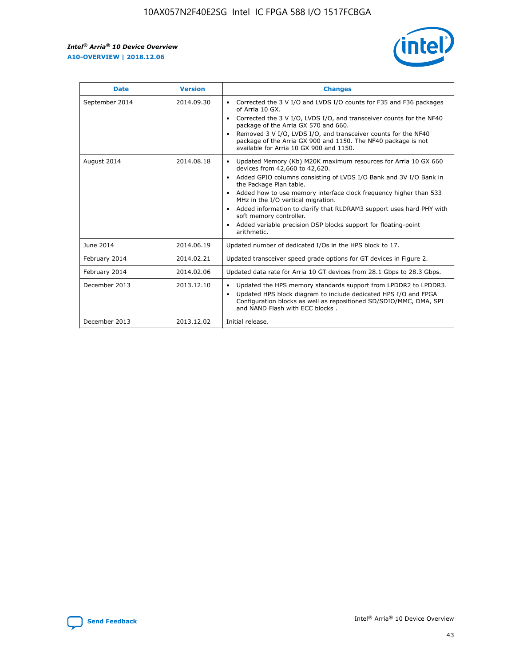r



| <b>Date</b>    | <b>Version</b> | <b>Changes</b>                                                                                                                                                                                                                                                                                                                                                                                                                                                                                                                                      |
|----------------|----------------|-----------------------------------------------------------------------------------------------------------------------------------------------------------------------------------------------------------------------------------------------------------------------------------------------------------------------------------------------------------------------------------------------------------------------------------------------------------------------------------------------------------------------------------------------------|
| September 2014 | 2014.09.30     | Corrected the 3 V I/O and LVDS I/O counts for F35 and F36 packages<br>$\bullet$<br>of Arria 10 GX.<br>Corrected the 3 V I/O, LVDS I/O, and transceiver counts for the NF40<br>$\bullet$<br>package of the Arria GX 570 and 660.<br>Removed 3 V I/O, LVDS I/O, and transceiver counts for the NF40<br>$\bullet$<br>package of the Arria GX 900 and 1150. The NF40 package is not<br>available for Arria 10 GX 900 and 1150.                                                                                                                          |
| August 2014    | 2014.08.18     | Updated Memory (Kb) M20K maximum resources for Arria 10 GX 660<br>devices from 42,660 to 42,620.<br>Added GPIO columns consisting of LVDS I/O Bank and 3V I/O Bank in<br>$\bullet$<br>the Package Plan table.<br>Added how to use memory interface clock frequency higher than 533<br>$\bullet$<br>MHz in the I/O vertical migration.<br>Added information to clarify that RLDRAM3 support uses hard PHY with<br>$\bullet$<br>soft memory controller.<br>Added variable precision DSP blocks support for floating-point<br>$\bullet$<br>arithmetic. |
| June 2014      | 2014.06.19     | Updated number of dedicated I/Os in the HPS block to 17.                                                                                                                                                                                                                                                                                                                                                                                                                                                                                            |
| February 2014  | 2014.02.21     | Updated transceiver speed grade options for GT devices in Figure 2.                                                                                                                                                                                                                                                                                                                                                                                                                                                                                 |
| February 2014  | 2014.02.06     | Updated data rate for Arria 10 GT devices from 28.1 Gbps to 28.3 Gbps.                                                                                                                                                                                                                                                                                                                                                                                                                                                                              |
| December 2013  | 2013.12.10     | Updated the HPS memory standards support from LPDDR2 to LPDDR3.<br>Updated HPS block diagram to include dedicated HPS I/O and FPGA<br>$\bullet$<br>Configuration blocks as well as repositioned SD/SDIO/MMC, DMA, SPI<br>and NAND Flash with ECC blocks.                                                                                                                                                                                                                                                                                            |
| December 2013  | 2013.12.02     | Initial release.                                                                                                                                                                                                                                                                                                                                                                                                                                                                                                                                    |